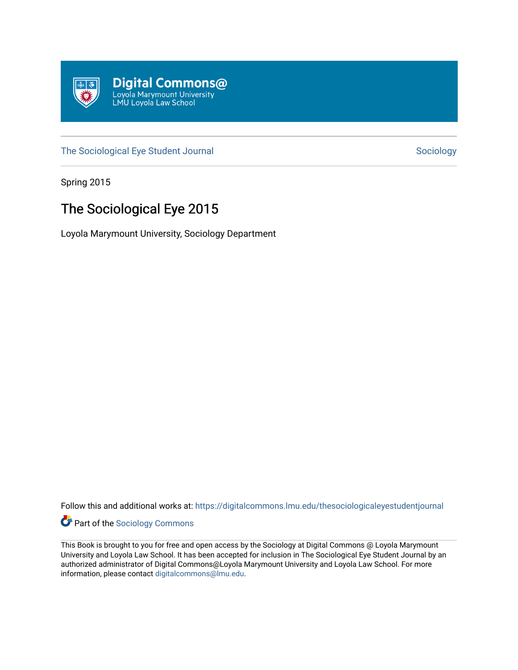

[The Sociological Eye Student Journal](https://digitalcommons.lmu.edu/thesociologicaleyestudentjournal) [Sociology](https://digitalcommons.lmu.edu/sociology) Sociology

Spring 2015

### The Sociological Eye 2015

Loyola Marymount University, Sociology Department

Follow this and additional works at: [https://digitalcommons.lmu.edu/thesociologicaleyestudentjournal](https://digitalcommons.lmu.edu/thesociologicaleyestudentjournal?utm_source=digitalcommons.lmu.edu%2Fthesociologicaleyestudentjournal%2F3&utm_medium=PDF&utm_campaign=PDFCoverPages) 



This Book is brought to you for free and open access by the Sociology at Digital Commons @ Loyola Marymount University and Loyola Law School. It has been accepted for inclusion in The Sociological Eye Student Journal by an authorized administrator of Digital Commons@Loyola Marymount University and Loyola Law School. For more information, please contact [digitalcommons@lmu.edu.](mailto:digitalcommons@lmu.edu)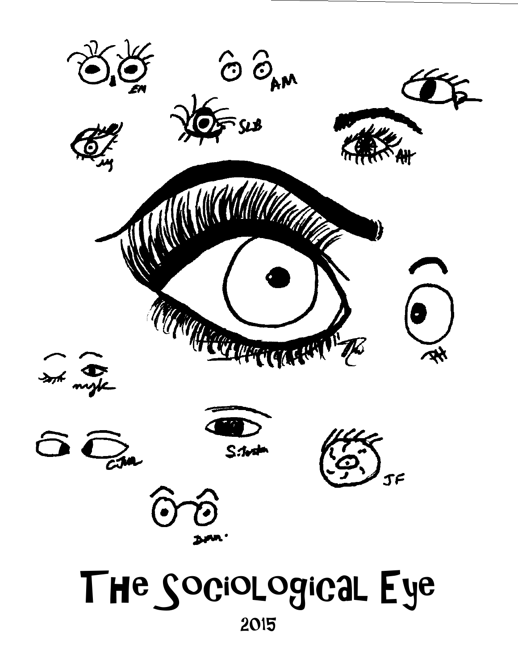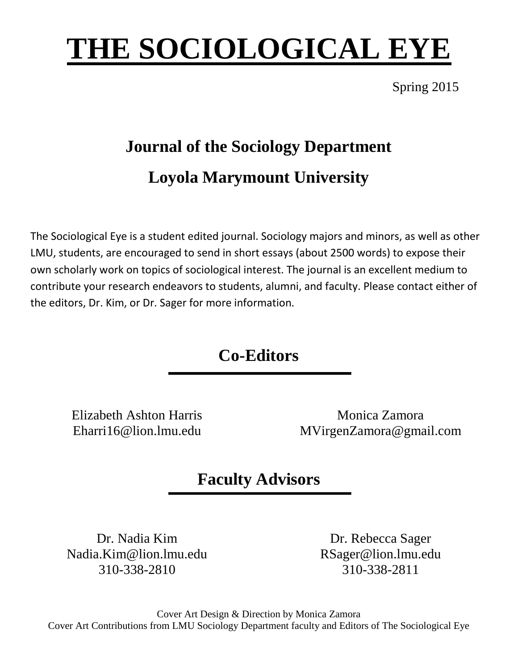# **THE SOCIOLOGICAL EYE**

Spring 2015

# **Journal of the Sociology Department Loyola Marymount University**

The Sociological Eye is a student edited journal. Sociology majors and minors, as well as other LMU, students, are encouraged to send in short essays (about 2500 words) to expose their own scholarly work on topics of sociological interest. The journal is an excellent medium to contribute your research endeavors to students, alumni, and faculty. Please contact either of the editors, Dr. Kim, or Dr. Sager for more information.

**Co-Editors**

Elizabeth Ashton Harris Eharri16@lion.lmu.edu

Monica Zamora MVirgenZamora@gmail.com

### **Faculty Advisors**

Dr. Nadia Kim Nadia.Kim@lion.lmu.edu 310-338-2810

Dr. Rebecca Sager RSager@lion.lmu.edu 310-338-2811

Cover Art Design & Direction by Monica Zamora Cover Art Contributions from LMU Sociology Department faculty and Editors of The Sociological Eye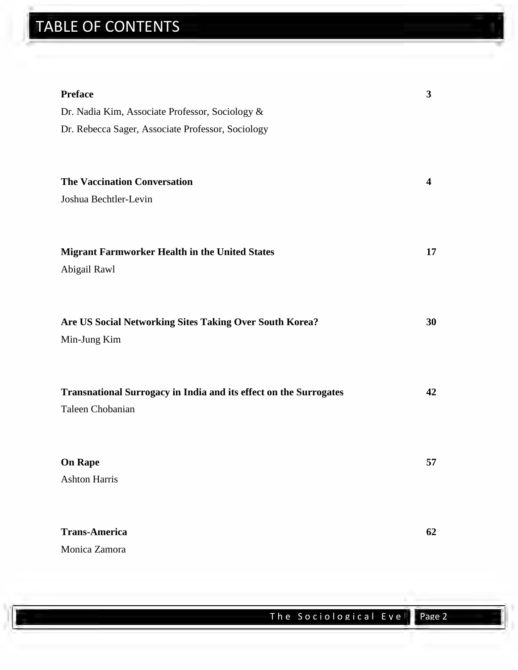## TABLE OF CONTENTS

| <b>Preface</b>                                                           | 3  |
|--------------------------------------------------------------------------|----|
| Dr. Nadia Kim, Associate Professor, Sociology &                          |    |
| Dr. Rebecca Sager, Associate Professor, Sociology                        |    |
|                                                                          |    |
|                                                                          |    |
| <b>The Vaccination Conversation</b>                                      | 4  |
| Joshua Bechtler-Levin                                                    |    |
|                                                                          |    |
|                                                                          |    |
| <b>Migrant Farmworker Health in the United States</b>                    | 17 |
| Abigail Rawl                                                             |    |
|                                                                          |    |
| Are US Social Networking Sites Taking Over South Korea?                  | 30 |
| Min-Jung Kim                                                             |    |
|                                                                          |    |
|                                                                          |    |
| <b>Transnational Surrogacy in India and its effect on the Surrogates</b> | 42 |
| Taleen Chobanian                                                         |    |
|                                                                          |    |
|                                                                          |    |
| <b>On Rape</b>                                                           | 57 |
| <b>Ashton Harris</b>                                                     |    |
|                                                                          |    |
|                                                                          |    |
| <b>Trans-America</b>                                                     | 62 |
| Monica Zamora                                                            |    |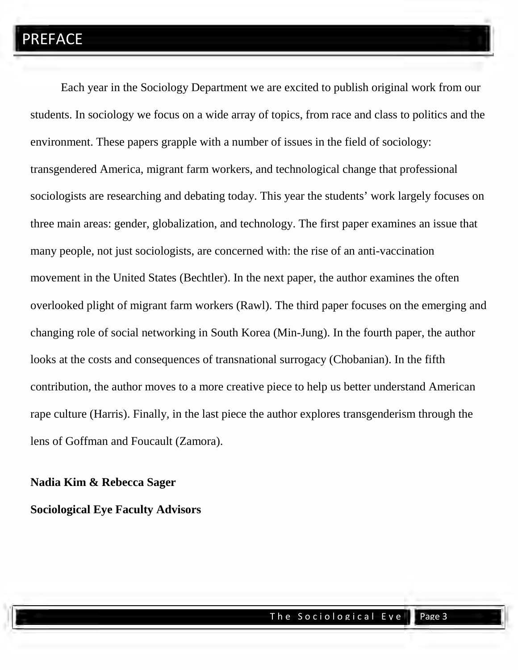### PREFACE

Each year in the Sociology Department we are excited to publish original work from our students. In sociology we focus on a wide array of topics, from race and class to politics and the environment. These papers grapple with a number of issues in the field of sociology: transgendered America, migrant farm workers, and technological change that professional sociologists are researching and debating today. This year the students' work largely focuses on three main areas: gender, globalization, and technology. The first paper examines an issue that many people, not just sociologists, are concerned with: the rise of an anti-vaccination movement in the United States (Bechtler). In the next paper, the author examines the often overlooked plight of migrant farm workers (Rawl). The third paper focuses on the emerging and changing role of social networking in South Korea (Min-Jung). In the fourth paper, the author looks at the costs and consequences of transnational surrogacy (Chobanian). In the fifth contribution, the author moves to a more creative piece to help us better understand American rape culture (Harris). Finally, in the last piece the author explores transgenderism through the lens of Goffman and Foucault (Zamora).

### **Nadia Kim & Rebecca Sager Sociological Eye Faculty Advisors**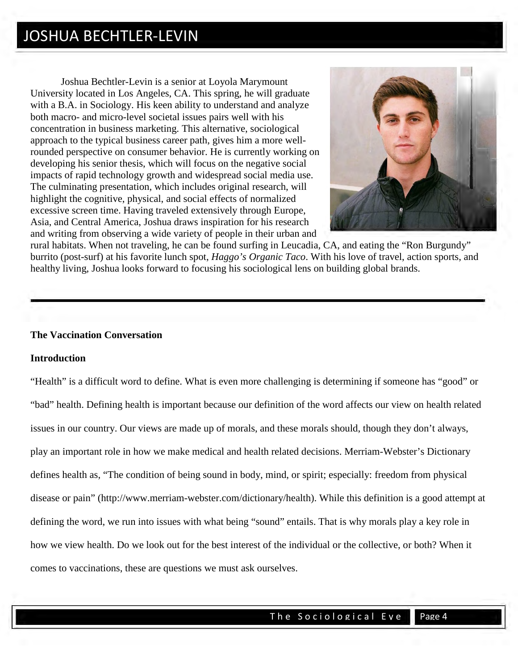Joshua Bechtler-Levin is a senior at Loyola Marymount University located in Los Angeles, CA. This spring, he will graduate with a B.A. in Sociology. His keen ability to understand and analyze both macro- and micro-level societal issues pairs well with his concentration in business marketing. This alternative, sociological approach to the typical business career path, gives him a more wellrounded perspective on consumer behavior. He is currently working on developing his senior thesis, which will focus on the negative social impacts of rapid technology growth and widespread social media use. The culminating presentation, which includes original research, will highlight the cognitive, physical, and social effects of normalized excessive screen time. Having traveled extensively through Europe, Asia, and Central America, Joshua draws inspiration for his research and writing from observing a wide variety of people in their urban and



rural habitats. When not traveling, he can be found surfing in Leucadia, CA, and eating the "Ron Burgundy" burrito (post-surf) at his favorite lunch spot, *Haggo's Organic Taco*. With his love of travel, action sports, and healthy living, Joshua looks forward to focusing his sociological lens on building global brands.

#### **The Vaccination Conversation**

#### **Introduction**

"Health" is a difficult word to define. What is even more challenging is determining if someone has "good" or "bad" health. Defining health is important because our definition of the word affects our view on health related issues in our country. Our views are made up of morals, and these morals should, though they don't always, play an important role in how we make medical and health related decisions. Merriam-Webster's Dictionary defines health as, "The condition of being sound in body, mind, or spirit; especially: freedom from physical disease or pain" (http://www.merriam-webster.com/dictionary/health). While this definition is a good attempt at defining the word, we run into issues with what being "sound" entails. That is why morals play a key role in how we view health. Do we look out for the best interest of the individual or the collective, or both? When it comes to vaccinations, these are questions we must ask ourselves.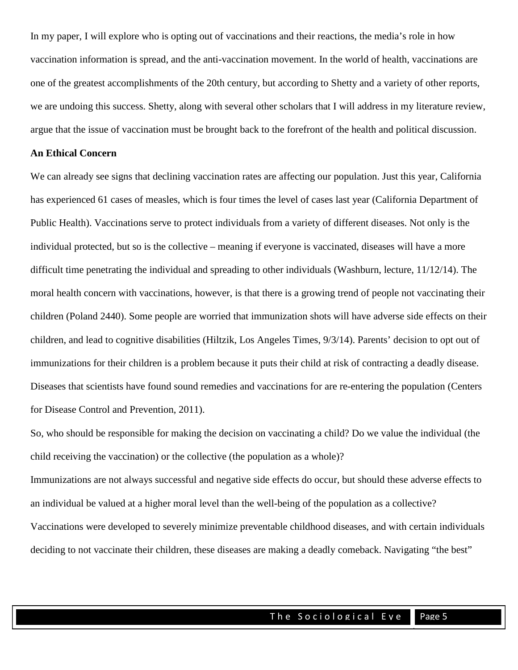In my paper, I will explore who is opting out of vaccinations and their reactions, the media's role in how vaccination information is spread, and the anti-vaccination movement. In the world of health, vaccinations are one of the greatest accomplishments of the 20th century, but according to Shetty and a variety of other reports, we are undoing this success. Shetty, along with several other scholars that I will address in my literature review, argue that the issue of vaccination must be brought back to the forefront of the health and political discussion.

#### **An Ethical Concern**

We can already see signs that declining vaccination rates are affecting our population. Just this year, California has experienced 61 cases of measles, which is four times the level of cases last year (California Department of Public Health). Vaccinations serve to protect individuals from a variety of different diseases. Not only is the individual protected, but so is the collective – meaning if everyone is vaccinated, diseases will have a more difficult time penetrating the individual and spreading to other individuals (Washburn, lecture, 11/12/14). The moral health concern with vaccinations, however, is that there is a growing trend of people not vaccinating their children (Poland 2440). Some people are worried that immunization shots will have adverse side effects on their children, and lead to cognitive disabilities (Hiltzik, Los Angeles Times, 9/3/14). Parents' decision to opt out of immunizations for their children is a problem because it puts their child at risk of contracting a deadly disease. Diseases that scientists have found sound remedies and vaccinations for are re-entering the population (Centers for Disease Control and Prevention, 2011).

So, who should be responsible for making the decision on vaccinating a child? Do we value the individual (the child receiving the vaccination) or the collective (the population as a whole)?

Immunizations are not always successful and negative side effects do occur, but should these adverse effects to an individual be valued at a higher moral level than the well-being of the population as a collective? Vaccinations were developed to severely minimize preventable childhood diseases, and with certain individuals deciding to not vaccinate their children, these diseases are making a deadly comeback. Navigating "the best"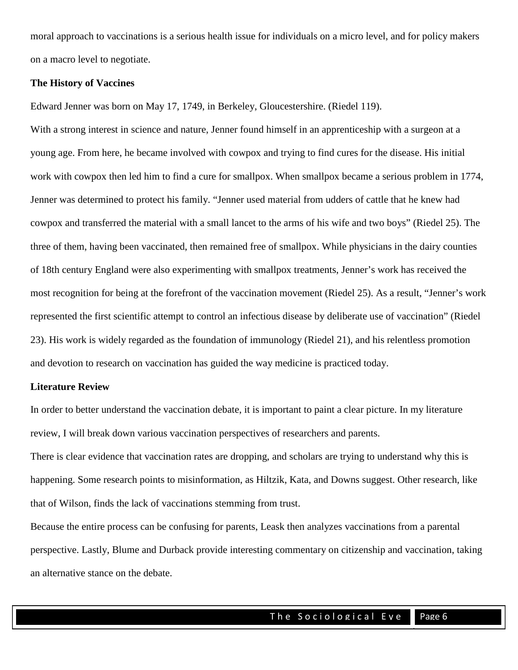moral approach to vaccinations is a serious health issue for individuals on a micro level, and for policy makers on a macro level to negotiate.

#### **The History of Vaccines**

Edward Jenner was born on May 17, 1749, in Berkeley, Gloucestershire. (Riedel 119).

With a strong interest in science and nature, Jenner found himself in an apprenticeship with a surgeon at a young age. From here, he became involved with cowpox and trying to find cures for the disease. His initial work with cowpox then led him to find a cure for smallpox. When smallpox became a serious problem in 1774, Jenner was determined to protect his family. "Jenner used material from udders of cattle that he knew had cowpox and transferred the material with a small lancet to the arms of his wife and two boys" (Riedel 25). The three of them, having been vaccinated, then remained free of smallpox. While physicians in the dairy counties of 18th century England were also experimenting with smallpox treatments, Jenner's work has received the most recognition for being at the forefront of the vaccination movement (Riedel 25). As a result, "Jenner's work represented the first scientific attempt to control an infectious disease by deliberate use of vaccination" (Riedel 23). His work is widely regarded as the foundation of immunology (Riedel 21), and his relentless promotion and devotion to research on vaccination has guided the way medicine is practiced today.

#### **Literature Review**

In order to better understand the vaccination debate, it is important to paint a clear picture. In my literature review, I will break down various vaccination perspectives of researchers and parents.

There is clear evidence that vaccination rates are dropping, and scholars are trying to understand why this is happening. Some research points to misinformation, as Hiltzik, Kata, and Downs suggest. Other research, like that of Wilson, finds the lack of vaccinations stemming from trust.

Because the entire process can be confusing for parents, Leask then analyzes vaccinations from a parental perspective. Lastly, Blume and Durback provide interesting commentary on citizenship and vaccination, taking an alternative stance on the debate.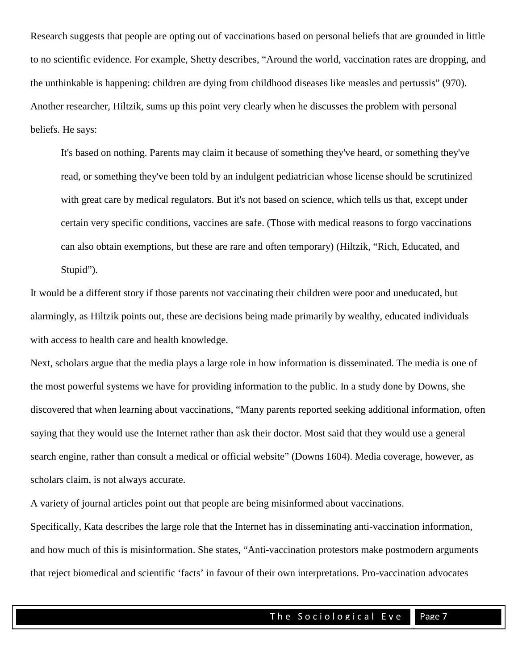Research suggests that people are opting out of vaccinations based on personal beliefs that are grounded in little to no scientific evidence. For example, Shetty describes, "Around the world, vaccination rates are dropping, and the unthinkable is happening: children are dying from childhood diseases like measles and pertussis" (970). Another researcher, Hiltzik, sums up this point very clearly when he discusses the problem with personal beliefs. He says:

It's based on nothing. Parents may claim it because of something they've heard, or something they've read, or something they've been told by an indulgent pediatrician whose license should be scrutinized with great care by medical regulators. But it's not based on science, which tells us that, except under certain very specific conditions, vaccines are safe. (Those with medical reasons to forgo vaccinations can also obtain exemptions, but these are rare and often temporary) (Hiltzik, "Rich, Educated, and Stupid").

It would be a different story if those parents not vaccinating their children were poor and uneducated, but alarmingly, as Hiltzik points out, these are decisions being made primarily by wealthy, educated individuals with access to health care and health knowledge.

Next, scholars argue that the media plays a large role in how information is disseminated. The media is one of the most powerful systems we have for providing information to the public. In a study done by Downs, she discovered that when learning about vaccinations, "Many parents reported seeking additional information, often saying that they would use the Internet rather than ask their doctor. Most said that they would use a general search engine, rather than consult a medical or official website" (Downs 1604). Media coverage, however, as scholars claim, is not always accurate.

A variety of journal articles point out that people are being misinformed about vaccinations.

Specifically, Kata describes the large role that the Internet has in disseminating anti-vaccination information, and how much of this is misinformation. She states, "Anti-vaccination protestors make postmodern arguments that reject biomedical and scientific 'facts' in favour of their own interpretations. Pro-vaccination advocates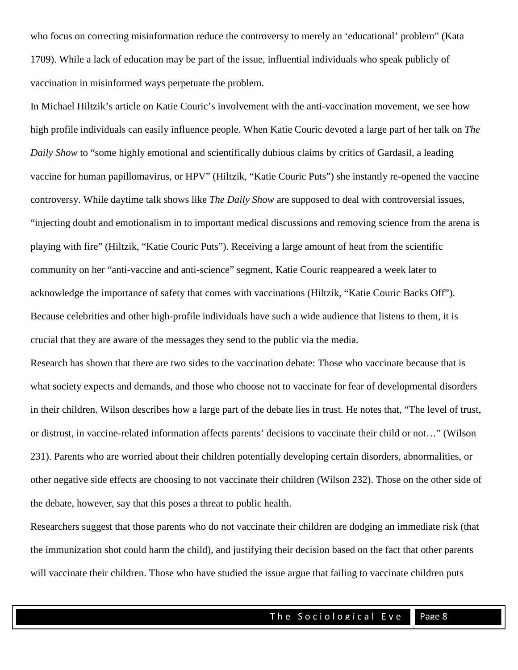who focus on correcting misinformation reduce the controversy to merely an 'educational' problem" (Kata 1709). While a lack of education may be part of the issue, influential individuals who speak publicly of vaccination in misinformed ways perpetuate the problem.

In Michael Hiltzik's article on Katie Couric's involvement with the anti-vaccination movement, we see how high profile individuals can easily influence people. When Katie Couric devoted a large part of her talk on *The Daily Show* to "some highly emotional and scientifically dubious claims by critics of Gardasil, a leading vaccine for human papillomavirus, or HPV" (Hiltzik, "Katie Couric Puts") she instantly re-opened the vaccine controversy. While daytime talk shows like *The Daily Show* are supposed to deal with controversial issues, "injecting doubt and emotionalism in to important medical discussions and removing science from the arena is playing with fire" (Hiltzik, "Katie Couric Puts"). Receiving a large amount of heat from the scientific community on her "anti-vaccine and anti-science" segment, Katie Couric reappeared a week later to acknowledge the importance of safety that comes with vaccinations (Hiltzik, "Katie Couric Backs Off"). Because celebrities and other high-profile individuals have such a wide audience that listens to them, it is crucial that they are aware of the messages they send to the public via the media.

Research has shown that there are two sides to the vaccination debate: Those who vaccinate because that is what society expects and demands, and those who choose not to vaccinate for fear of developmental disorders in their children. Wilson describes how a large part of the debate lies in trust. He notes that, "The level of trust, or distrust, in vaccine-related information affects parents' decisions to vaccinate their child or not…" (Wilson 231). Parents who are worried about their children potentially developing certain disorders, abnormalities, or other negative side effects are choosing to not vaccinate their children (Wilson 232). Those on the other side of the debate, however, say that this poses a threat to public health.

Researchers suggest that those parents who do not vaccinate their children are dodging an immediate risk (that the immunization shot could harm the child), and justifying their decision based on the fact that other parents will vaccinate their children. Those who have studied the issue argue that failing to vaccinate children puts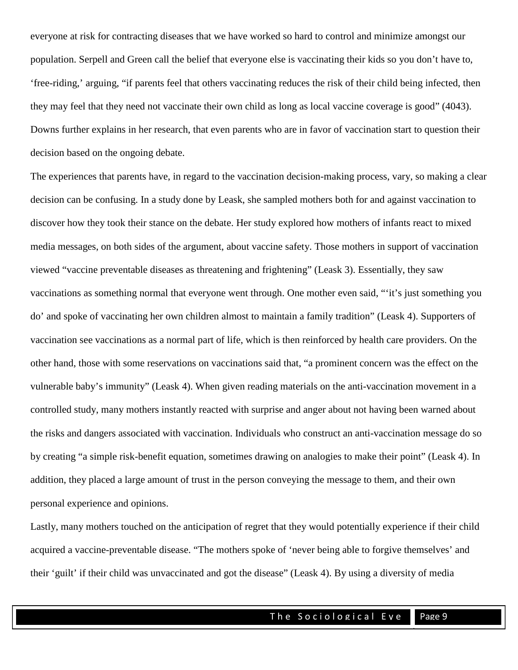everyone at risk for contracting diseases that we have worked so hard to control and minimize amongst our population. Serpell and Green call the belief that everyone else is vaccinating their kids so you don't have to, 'free-riding,' arguing, "if parents feel that others vaccinating reduces the risk of their child being infected, then they may feel that they need not vaccinate their own child as long as local vaccine coverage is good" (4043). Downs further explains in her research, that even parents who are in favor of vaccination start to question their decision based on the ongoing debate.

The experiences that parents have, in regard to the vaccination decision-making process, vary, so making a clear decision can be confusing. In a study done by Leask, she sampled mothers both for and against vaccination to discover how they took their stance on the debate. Her study explored how mothers of infants react to mixed media messages, on both sides of the argument, about vaccine safety. Those mothers in support of vaccination viewed "vaccine preventable diseases as threatening and frightening" (Leask 3). Essentially, they saw vaccinations as something normal that everyone went through. One mother even said, "'it's just something you do' and spoke of vaccinating her own children almost to maintain a family tradition" (Leask 4). Supporters of vaccination see vaccinations as a normal part of life, which is then reinforced by health care providers. On the other hand, those with some reservations on vaccinations said that, "a prominent concern was the effect on the vulnerable baby's immunity" (Leask 4). When given reading materials on the anti-vaccination movement in a controlled study, many mothers instantly reacted with surprise and anger about not having been warned about the risks and dangers associated with vaccination. Individuals who construct an anti-vaccination message do so by creating "a simple risk-benefit equation, sometimes drawing on analogies to make their point" (Leask 4). In addition, they placed a large amount of trust in the person conveying the message to them, and their own personal experience and opinions.

Lastly, many mothers touched on the anticipation of regret that they would potentially experience if their child acquired a vaccine-preventable disease. "The mothers spoke of 'never being able to forgive themselves' and their 'guilt' if their child was unvaccinated and got the disease" (Leask 4). By using a diversity of media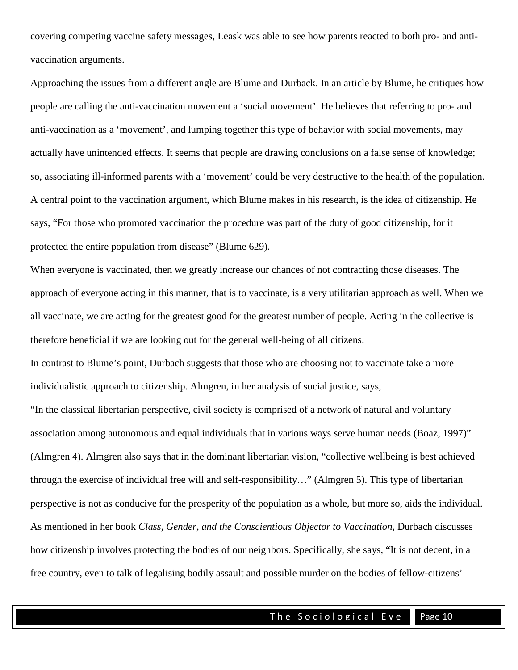covering competing vaccine safety messages, Leask was able to see how parents reacted to both pro- and antivaccination arguments.

Approaching the issues from a different angle are Blume and Durback. In an article by Blume, he critiques how people are calling the anti-vaccination movement a 'social movement'. He believes that referring to pro- and anti-vaccination as a 'movement', and lumping together this type of behavior with social movements, may actually have unintended effects. It seems that people are drawing conclusions on a false sense of knowledge; so, associating ill-informed parents with a 'movement' could be very destructive to the health of the population. A central point to the vaccination argument, which Blume makes in his research, is the idea of citizenship. He says, "For those who promoted vaccination the procedure was part of the duty of good citizenship, for it protected the entire population from disease" (Blume 629).

When everyone is vaccinated, then we greatly increase our chances of not contracting those diseases. The approach of everyone acting in this manner, that is to vaccinate, is a very utilitarian approach as well. When we all vaccinate, we are acting for the greatest good for the greatest number of people. Acting in the collective is therefore beneficial if we are looking out for the general well-being of all citizens.

In contrast to Blume's point, Durbach suggests that those who are choosing not to vaccinate take a more individualistic approach to citizenship. Almgren, in her analysis of social justice, says,

"In the classical libertarian perspective, civil society is comprised of a network of natural and voluntary association among autonomous and equal individuals that in various ways serve human needs (Boaz, 1997)" (Almgren 4). Almgren also says that in the dominant libertarian vision, "collective wellbeing is best achieved through the exercise of individual free will and self-responsibility…" (Almgren 5). This type of libertarian perspective is not as conducive for the prosperity of the population as a whole, but more so, aids the individual. As mentioned in her book *Class, Gender, and the Conscientious Objector to Vaccination*, Durbach discusses how citizenship involves protecting the bodies of our neighbors. Specifically, she says, "It is not decent, in a free country, even to talk of legalising bodily assault and possible murder on the bodies of fellow-citizens'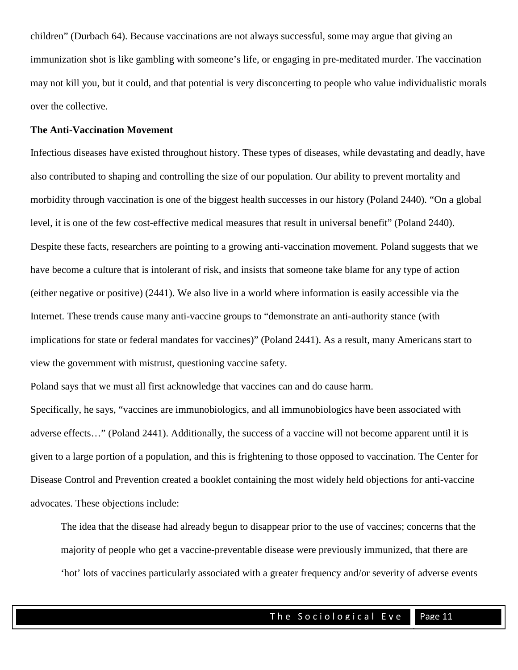children" (Durbach 64). Because vaccinations are not always successful, some may argue that giving an immunization shot is like gambling with someone's life, or engaging in pre-meditated murder. The vaccination may not kill you, but it could, and that potential is very disconcerting to people who value individualistic morals over the collective.

#### **The Anti-Vaccination Movement**

Infectious diseases have existed throughout history. These types of diseases, while devastating and deadly, have also contributed to shaping and controlling the size of our population. Our ability to prevent mortality and morbidity through vaccination is one of the biggest health successes in our history (Poland 2440). "On a global level, it is one of the few cost-effective medical measures that result in universal benefit" (Poland 2440). Despite these facts, researchers are pointing to a growing anti-vaccination movement. Poland suggests that we have become a culture that is intolerant of risk, and insists that someone take blame for any type of action (either negative or positive) (2441). We also live in a world where information is easily accessible via the Internet. These trends cause many anti-vaccine groups to "demonstrate an anti-authority stance (with implications for state or federal mandates for vaccines)" (Poland 2441). As a result, many Americans start to view the government with mistrust, questioning vaccine safety.

Poland says that we must all first acknowledge that vaccines can and do cause harm.

Specifically, he says, "vaccines are immunobiologics, and all immunobiologics have been associated with adverse effects…" (Poland 2441). Additionally, the success of a vaccine will not become apparent until it is given to a large portion of a population, and this is frightening to those opposed to vaccination. The Center for Disease Control and Prevention created a booklet containing the most widely held objections for anti-vaccine advocates. These objections include:

The idea that the disease had already begun to disappear prior to the use of vaccines; concerns that the majority of people who get a vaccine-preventable disease were previously immunized, that there are 'hot' lots of vaccines particularly associated with a greater frequency and/or severity of adverse events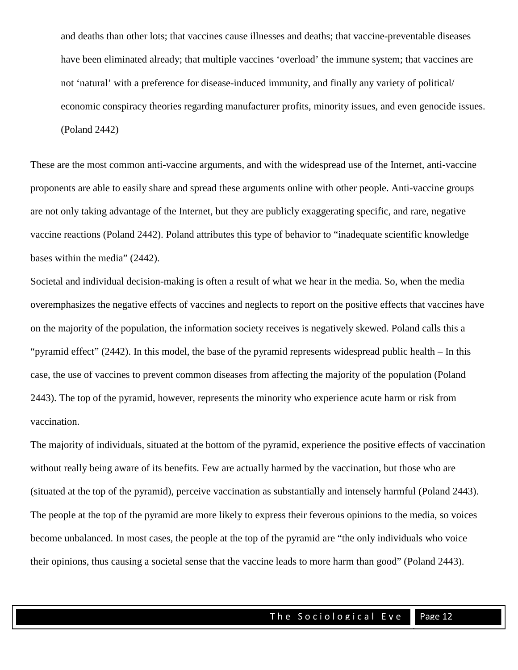and deaths than other lots; that vaccines cause illnesses and deaths; that vaccine-preventable diseases have been eliminated already; that multiple vaccines 'overload' the immune system; that vaccines are not 'natural' with a preference for disease-induced immunity, and finally any variety of political/ economic conspiracy theories regarding manufacturer profits, minority issues, and even genocide issues. (Poland 2442)

These are the most common anti-vaccine arguments, and with the widespread use of the Internet, anti-vaccine proponents are able to easily share and spread these arguments online with other people. Anti-vaccine groups are not only taking advantage of the Internet, but they are publicly exaggerating specific, and rare, negative vaccine reactions (Poland 2442). Poland attributes this type of behavior to "inadequate scientific knowledge bases within the media" (2442).

Societal and individual decision-making is often a result of what we hear in the media. So, when the media overemphasizes the negative effects of vaccines and neglects to report on the positive effects that vaccines have on the majority of the population, the information society receives is negatively skewed. Poland calls this a "pyramid effect" (2442). In this model, the base of the pyramid represents widespread public health – In this case, the use of vaccines to prevent common diseases from affecting the majority of the population (Poland 2443). The top of the pyramid, however, represents the minority who experience acute harm or risk from vaccination.

The majority of individuals, situated at the bottom of the pyramid, experience the positive effects of vaccination without really being aware of its benefits. Few are actually harmed by the vaccination, but those who are (situated at the top of the pyramid), perceive vaccination as substantially and intensely harmful (Poland 2443). The people at the top of the pyramid are more likely to express their feverous opinions to the media, so voices become unbalanced. In most cases, the people at the top of the pyramid are "the only individuals who voice their opinions, thus causing a societal sense that the vaccine leads to more harm than good" (Poland 2443).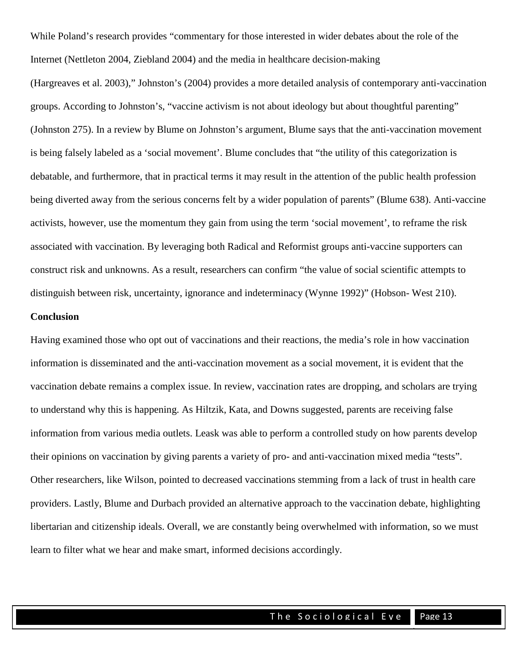While Poland's research provides "commentary for those interested in wider debates about the role of the Internet (Nettleton 2004, Ziebland 2004) and the media in healthcare decision-making

(Hargreaves et al. 2003)," Johnston's (2004) provides a more detailed analysis of contemporary anti-vaccination groups. According to Johnston's, "vaccine activism is not about ideology but about thoughtful parenting" (Johnston 275). In a review by Blume on Johnston's argument, Blume says that the anti-vaccination movement is being falsely labeled as a 'social movement'. Blume concludes that "the utility of this categorization is debatable, and furthermore, that in practical terms it may result in the attention of the public health profession being diverted away from the serious concerns felt by a wider population of parents" (Blume 638). Anti-vaccine activists, however, use the momentum they gain from using the term 'social movement', to reframe the risk associated with vaccination. By leveraging both Radical and Reformist groups anti-vaccine supporters can construct risk and unknowns. As a result, researchers can confirm "the value of social scientific attempts to distinguish between risk, uncertainty, ignorance and indeterminacy (Wynne 1992)" (Hobson- West 210).

#### **Conclusion**

Having examined those who opt out of vaccinations and their reactions, the media's role in how vaccination information is disseminated and the anti-vaccination movement as a social movement, it is evident that the vaccination debate remains a complex issue. In review, vaccination rates are dropping, and scholars are trying to understand why this is happening. As Hiltzik, Kata, and Downs suggested, parents are receiving false information from various media outlets. Leask was able to perform a controlled study on how parents develop their opinions on vaccination by giving parents a variety of pro- and anti-vaccination mixed media "tests". Other researchers, like Wilson, pointed to decreased vaccinations stemming from a lack of trust in health care providers. Lastly, Blume and Durbach provided an alternative approach to the vaccination debate, highlighting libertarian and citizenship ideals. Overall, we are constantly being overwhelmed with information, so we must learn to filter what we hear and make smart, informed decisions accordingly.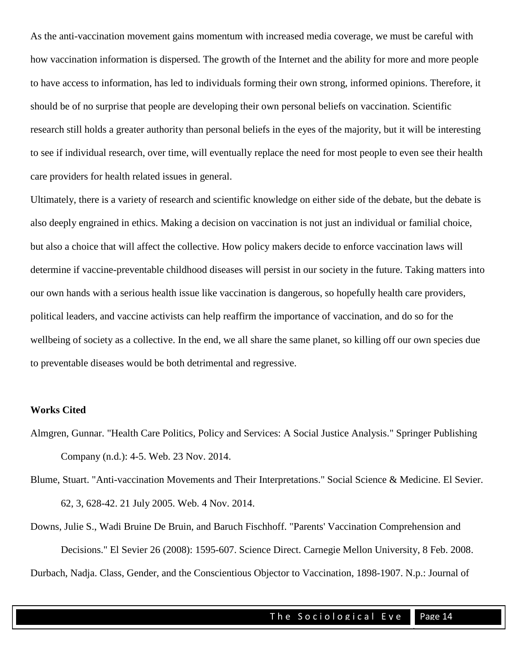As the anti-vaccination movement gains momentum with increased media coverage, we must be careful with how vaccination information is dispersed. The growth of the Internet and the ability for more and more people to have access to information, has led to individuals forming their own strong, informed opinions. Therefore, it should be of no surprise that people are developing their own personal beliefs on vaccination. Scientific research still holds a greater authority than personal beliefs in the eyes of the majority, but it will be interesting to see if individual research, over time, will eventually replace the need for most people to even see their health care providers for health related issues in general.

Ultimately, there is a variety of research and scientific knowledge on either side of the debate, but the debate is also deeply engrained in ethics. Making a decision on vaccination is not just an individual or familial choice, but also a choice that will affect the collective. How policy makers decide to enforce vaccination laws will determine if vaccine-preventable childhood diseases will persist in our society in the future. Taking matters into our own hands with a serious health issue like vaccination is dangerous, so hopefully health care providers, political leaders, and vaccine activists can help reaffirm the importance of vaccination, and do so for the wellbeing of society as a collective. In the end, we all share the same planet, so killing off our own species due to preventable diseases would be both detrimental and regressive.

#### **Works Cited**

- Almgren, Gunnar. "Health Care Politics, Policy and Services: A Social Justice Analysis." Springer Publishing Company (n.d.): 4-5. Web. 23 Nov. 2014.
- Blume, Stuart. "Anti-vaccination Movements and Their Interpretations." Social Science & Medicine. El Sevier. 62, 3, 628-42. 21 July 2005. Web. 4 Nov. 2014.

Downs, Julie S., Wadi Bruine De Bruin, and Baruch Fischhoff. "Parents' Vaccination Comprehension and Decisions." El Sevier 26 (2008): 1595-607. Science Direct. Carnegie Mellon University, 8 Feb. 2008. Durbach, Nadja. Class, Gender, and the Conscientious Objector to Vaccination, 1898-1907. N.p.: Journal of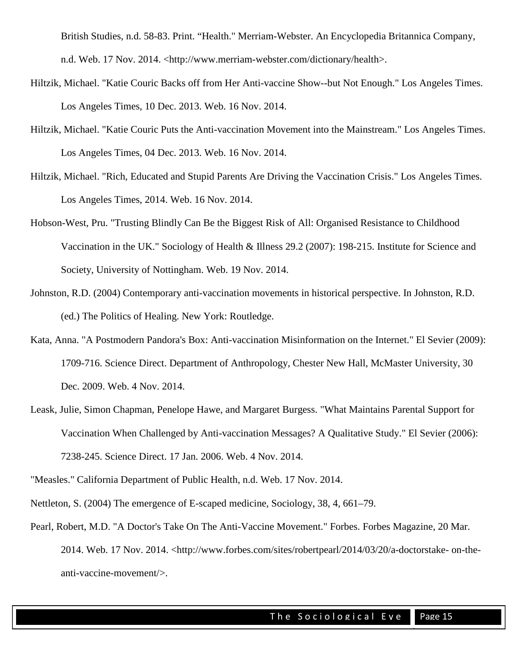British Studies, n.d. 58-83. Print. "Health." Merriam-Webster. An Encyclopedia Britannica Company, n.d. Web. 17 Nov. 2014. <http://www.merriam-webster.com/dictionary/health>.

- Hiltzik, Michael. "Katie Couric Backs off from Her Anti-vaccine Show--but Not Enough." Los Angeles Times. Los Angeles Times, 10 Dec. 2013. Web. 16 Nov. 2014.
- Hiltzik, Michael. "Katie Couric Puts the Anti-vaccination Movement into the Mainstream." Los Angeles Times. Los Angeles Times, 04 Dec. 2013. Web. 16 Nov. 2014.
- Hiltzik, Michael. "Rich, Educated and Stupid Parents Are Driving the Vaccination Crisis." Los Angeles Times. Los Angeles Times, 2014. Web. 16 Nov. 2014.
- Hobson-West, Pru. "Trusting Blindly Can Be the Biggest Risk of All: Organised Resistance to Childhood Vaccination in the UK." Sociology of Health & Illness 29.2 (2007): 198-215. Institute for Science and Society, University of Nottingham. Web. 19 Nov. 2014.
- Johnston, R.D. (2004) Contemporary anti-vaccination movements in historical perspective. In Johnston, R.D. (ed.) The Politics of Healing. New York: Routledge.
- Kata, Anna. "A Postmodern Pandora's Box: Anti-vaccination Misinformation on the Internet." El Sevier (2009): 1709-716. Science Direct. Department of Anthropology, Chester New Hall, McMaster University, 30 Dec. 2009. Web. 4 Nov. 2014.
- Leask, Julie, Simon Chapman, Penelope Hawe, and Margaret Burgess. "What Maintains Parental Support for Vaccination When Challenged by Anti-vaccination Messages? A Qualitative Study." El Sevier (2006): 7238-245. Science Direct. 17 Jan. 2006. Web. 4 Nov. 2014.

<sup>&</sup>quot;Measles." California Department of Public Health, n.d. Web. 17 Nov. 2014.

Nettleton, S. (2004) The emergence of E-scaped medicine, Sociology, 38, 4, 661–79.

Pearl, Robert, M.D. "A Doctor's Take On The Anti-Vaccine Movement." Forbes. Forbes Magazine, 20 Mar. 2014. Web. 17 Nov. 2014. <http://www.forbes.com/sites/robertpearl/2014/03/20/a-doctorstake- on-theanti-vaccine-movement/>.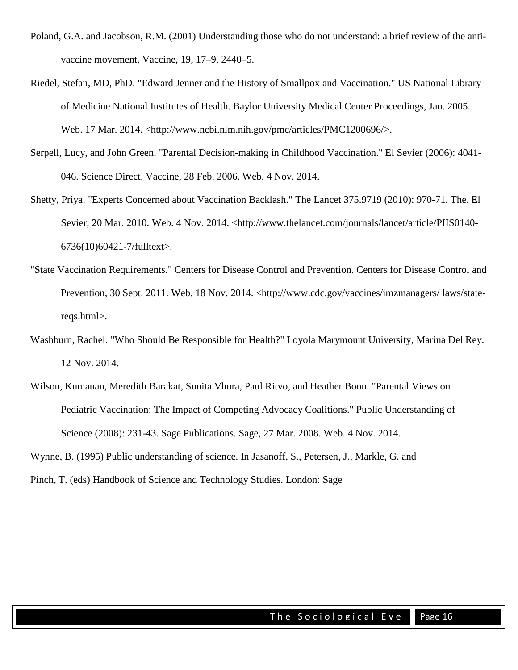- Poland, G.A. and Jacobson, R.M. (2001) Understanding those who do not understand: a brief review of the antivaccine movement, Vaccine, 19, 17–9, 2440–5.
- Riedel, Stefan, MD, PhD. "Edward Jenner and the History of Smallpox and Vaccination." US National Library of Medicine National Institutes of Health. Baylor University Medical Center Proceedings, Jan. 2005. Web. 17 Mar. 2014. <http://www.ncbi.nlm.nih.gov/pmc/articles/PMC1200696/>.
- Serpell, Lucy, and John Green. "Parental Decision-making in Childhood Vaccination." El Sevier (2006): 4041- 046. Science Direct. Vaccine, 28 Feb. 2006. Web. 4 Nov. 2014.
- Shetty, Priya. "Experts Concerned about Vaccination Backlash." The Lancet 375.9719 (2010): 970-71. The. El Sevier, 20 Mar. 2010. Web. 4 Nov. 2014. <http://www.thelancet.com/journals/lancet/article/PIIS0140-6736(10)60421-7/fulltext>.
- "State Vaccination Requirements." Centers for Disease Control and Prevention. Centers for Disease Control and Prevention, 30 Sept. 2011. Web. 18 Nov. 2014. <http://www.cdc.gov/vaccines/imzmanagers/ laws/statereqs.html>.
- Washburn, Rachel. "Who Should Be Responsible for Health?" Loyola Marymount University, Marina Del Rey. 12 Nov. 2014.
- Wilson, Kumanan, Meredith Barakat, Sunita Vhora, Paul Ritvo, and Heather Boon. "Parental Views on Pediatric Vaccination: The Impact of Competing Advocacy Coalitions." Public Understanding of Science (2008): 231-43. Sage Publications. Sage, 27 Mar. 2008. Web. 4 Nov. 2014.

Wynne, B. (1995) Public understanding of science. In Jasanoff, S., Petersen, J., Markle, G. and

Pinch, T. (eds) Handbook of Science and Technology Studies. London: Sage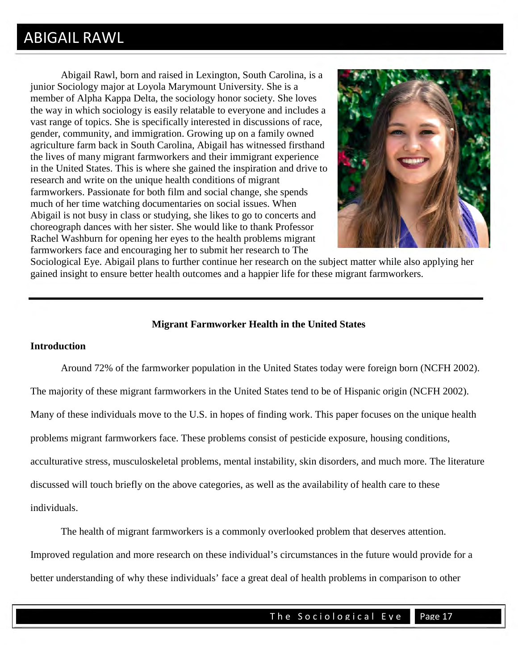### ABIGAIL RAWL

Abigail Rawl, born and raised in Lexington, South Carolina, is a junior Sociology major at Loyola Marymount University. She is a member of Alpha Kappa Delta, the sociology honor society. She loves the way in which sociology is easily relatable to everyone and includes a vast range of topics. She is specifically interested in discussions of race, gender, community, and immigration. Growing up on a family owned agriculture farm back in South Carolina, Abigail has witnessed firsthand the lives of many migrant farmworkers and their immigrant experience in the United States. This is where she gained the inspiration and drive to research and write on the unique health conditions of migrant farmworkers. Passionate for both film and social change, she spends much of her time watching documentaries on social issues. When Abigail is not busy in class or studying, she likes to go to concerts and choreograph dances with her sister. She would like to thank Professor Rachel Washburn for opening her eyes to the health problems migrant farmworkers face and encouraging her to submit her research to The



Sociological Eye. Abigail plans to further continue her research on the subject matter while also applying her gained insight to ensure better health outcomes and a happier life for these migrant farmworkers.

#### **Migrant Farmworker Health in the United States**

#### **Introduction**

 Around 72% of the farmworker population in the United States today were foreign born (NCFH 2002). The majority of these migrant farmworkers in the United States tend to be of Hispanic origin (NCFH 2002). Many of these individuals move to the U.S. in hopes of finding work. This paper focuses on the unique health problems migrant farmworkers face. These problems consist of pesticide exposure, housing conditions, acculturative stress, musculoskeletal problems, mental instability, skin disorders, and much more. The literature discussed will touch briefly on the above categories, as well as the availability of health care to these individuals.

The health of migrant farmworkers is a commonly overlooked problem that deserves attention. Improved regulation and more research on these individual's circumstances in the future would provide for a better understanding of why these individuals' face a great deal of health problems in comparison to other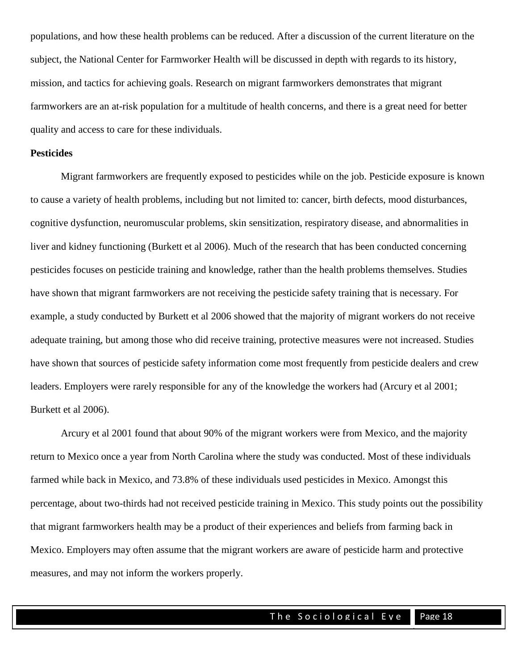populations, and how these health problems can be reduced. After a discussion of the current literature on the subject, the National Center for Farmworker Health will be discussed in depth with regards to its history, mission, and tactics for achieving goals. Research on migrant farmworkers demonstrates that migrant farmworkers are an at-risk population for a multitude of health concerns, and there is a great need for better quality and access to care for these individuals.

#### **Pesticides**

Migrant farmworkers are frequently exposed to pesticides while on the job. Pesticide exposure is known to cause a variety of health problems, including but not limited to: cancer, birth defects, mood disturbances, cognitive dysfunction, neuromuscular problems, skin sensitization, respiratory disease, and abnormalities in liver and kidney functioning (Burkett et al 2006). Much of the research that has been conducted concerning pesticides focuses on pesticide training and knowledge, rather than the health problems themselves. Studies have shown that migrant farmworkers are not receiving the pesticide safety training that is necessary. For example, a study conducted by Burkett et al 2006 showed that the majority of migrant workers do not receive adequate training, but among those who did receive training, protective measures were not increased. Studies have shown that sources of pesticide safety information come most frequently from pesticide dealers and crew leaders. Employers were rarely responsible for any of the knowledge the workers had (Arcury et al 2001; Burkett et al 2006).

Arcury et al 2001 found that about 90% of the migrant workers were from Mexico, and the majority return to Mexico once a year from North Carolina where the study was conducted. Most of these individuals farmed while back in Mexico, and 73.8% of these individuals used pesticides in Mexico. Amongst this percentage, about two-thirds had not received pesticide training in Mexico. This study points out the possibility that migrant farmworkers health may be a product of their experiences and beliefs from farming back in Mexico. Employers may often assume that the migrant workers are aware of pesticide harm and protective measures, and may not inform the workers properly.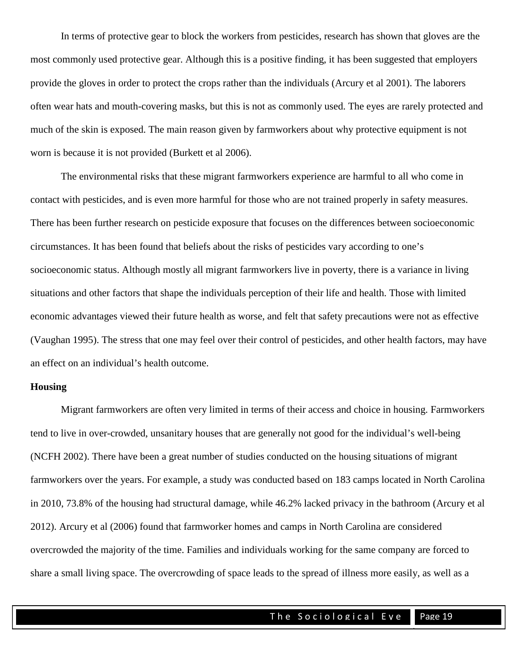In terms of protective gear to block the workers from pesticides, research has shown that gloves are the most commonly used protective gear. Although this is a positive finding, it has been suggested that employers provide the gloves in order to protect the crops rather than the individuals (Arcury et al 2001). The laborers often wear hats and mouth-covering masks, but this is not as commonly used. The eyes are rarely protected and much of the skin is exposed. The main reason given by farmworkers about why protective equipment is not worn is because it is not provided (Burkett et al 2006).

The environmental risks that these migrant farmworkers experience are harmful to all who come in contact with pesticides, and is even more harmful for those who are not trained properly in safety measures. There has been further research on pesticide exposure that focuses on the differences between socioeconomic circumstances. It has been found that beliefs about the risks of pesticides vary according to one's socioeconomic status. Although mostly all migrant farmworkers live in poverty, there is a variance in living situations and other factors that shape the individuals perception of their life and health. Those with limited economic advantages viewed their future health as worse, and felt that safety precautions were not as effective (Vaughan 1995). The stress that one may feel over their control of pesticides, and other health factors, may have an effect on an individual's health outcome.

#### **Housing**

Migrant farmworkers are often very limited in terms of their access and choice in housing. Farmworkers tend to live in over-crowded, unsanitary houses that are generally not good for the individual's well-being (NCFH 2002). There have been a great number of studies conducted on the housing situations of migrant farmworkers over the years. For example, a study was conducted based on 183 camps located in North Carolina in 2010, 73.8% of the housing had structural damage, while 46.2% lacked privacy in the bathroom (Arcury et al 2012). Arcury et al (2006) found that farmworker homes and camps in North Carolina are considered overcrowded the majority of the time. Families and individuals working for the same company are forced to share a small living space. The overcrowding of space leads to the spread of illness more easily, as well as a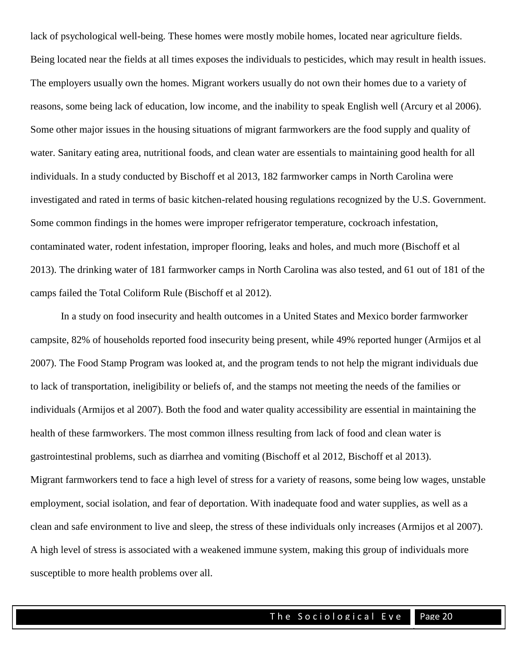lack of psychological well-being. These homes were mostly mobile homes, located near agriculture fields. Being located near the fields at all times exposes the individuals to pesticides, which may result in health issues. The employers usually own the homes. Migrant workers usually do not own their homes due to a variety of reasons, some being lack of education, low income, and the inability to speak English well (Arcury et al 2006). Some other major issues in the housing situations of migrant farmworkers are the food supply and quality of water. Sanitary eating area, nutritional foods, and clean water are essentials to maintaining good health for all individuals. In a study conducted by Bischoff et al 2013, 182 farmworker camps in North Carolina were investigated and rated in terms of basic kitchen-related housing regulations recognized by the U.S. Government. Some common findings in the homes were improper refrigerator temperature, cockroach infestation, contaminated water, rodent infestation, improper flooring, leaks and holes, and much more (Bischoff et al 2013). The drinking water of 181 farmworker camps in North Carolina was also tested, and 61 out of 181 of the camps failed the Total Coliform Rule (Bischoff et al 2012).

 In a study on food insecurity and health outcomes in a United States and Mexico border farmworker campsite, 82% of households reported food insecurity being present, while 49% reported hunger (Armijos et al 2007). The Food Stamp Program was looked at, and the program tends to not help the migrant individuals due to lack of transportation, ineligibility or beliefs of, and the stamps not meeting the needs of the families or individuals (Armijos et al 2007). Both the food and water quality accessibility are essential in maintaining the health of these farmworkers. The most common illness resulting from lack of food and clean water is gastrointestinal problems, such as diarrhea and vomiting (Bischoff et al 2012, Bischoff et al 2013). Migrant farmworkers tend to face a high level of stress for a variety of reasons, some being low wages, unstable employment, social isolation, and fear of deportation. With inadequate food and water supplies, as well as a clean and safe environment to live and sleep, the stress of these individuals only increases (Armijos et al 2007). A high level of stress is associated with a weakened immune system, making this group of individuals more susceptible to more health problems over all.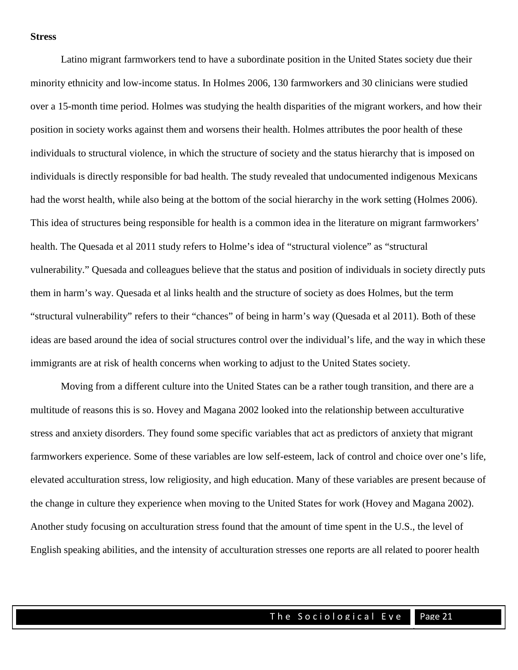#### **Stress**

 Latino migrant farmworkers tend to have a subordinate position in the United States society due their minority ethnicity and low-income status. In Holmes 2006, 130 farmworkers and 30 clinicians were studied over a 15-month time period. Holmes was studying the health disparities of the migrant workers, and how their position in society works against them and worsens their health. Holmes attributes the poor health of these individuals to structural violence, in which the structure of society and the status hierarchy that is imposed on individuals is directly responsible for bad health. The study revealed that undocumented indigenous Mexicans had the worst health, while also being at the bottom of the social hierarchy in the work setting (Holmes 2006). This idea of structures being responsible for health is a common idea in the literature on migrant farmworkers' health. The Quesada et al 2011 study refers to Holme's idea of "structural violence" as "structural vulnerability." Quesada and colleagues believe that the status and position of individuals in society directly puts them in harm's way. Quesada et al links health and the structure of society as does Holmes, but the term "structural vulnerability" refers to their "chances" of being in harm's way (Quesada et al 2011). Both of these ideas are based around the idea of social structures control over the individual's life, and the way in which these immigrants are at risk of health concerns when working to adjust to the United States society.

Moving from a different culture into the United States can be a rather tough transition, and there are a multitude of reasons this is so. Hovey and Magana 2002 looked into the relationship between acculturative stress and anxiety disorders. They found some specific variables that act as predictors of anxiety that migrant farmworkers experience. Some of these variables are low self-esteem, lack of control and choice over one's life, elevated acculturation stress, low religiosity, and high education. Many of these variables are present because of the change in culture they experience when moving to the United States for work (Hovey and Magana 2002). Another study focusing on acculturation stress found that the amount of time spent in the U.S., the level of English speaking abilities, and the intensity of acculturation stresses one reports are all related to poorer health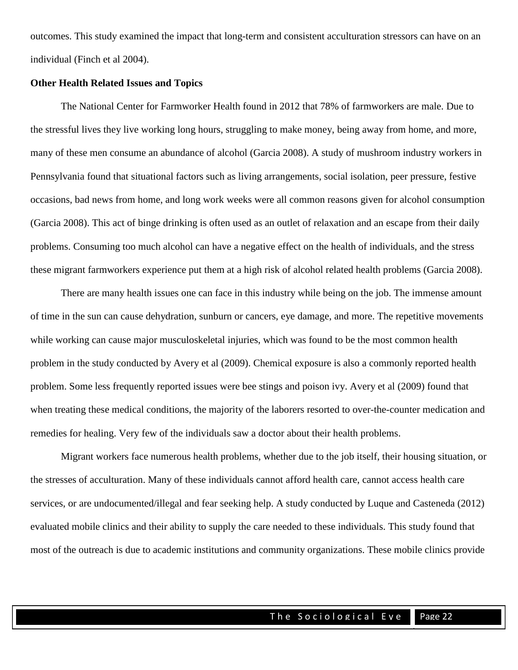outcomes. This study examined the impact that long-term and consistent acculturation stressors can have on an individual (Finch et al 2004).

#### **Other Health Related Issues and Topics**

 The National Center for Farmworker Health found in 2012 that 78% of farmworkers are male. Due to the stressful lives they live working long hours, struggling to make money, being away from home, and more, many of these men consume an abundance of alcohol (Garcia 2008). A study of mushroom industry workers in Pennsylvania found that situational factors such as living arrangements, social isolation, peer pressure, festive occasions, bad news from home, and long work weeks were all common reasons given for alcohol consumption (Garcia 2008). This act of binge drinking is often used as an outlet of relaxation and an escape from their daily problems. Consuming too much alcohol can have a negative effect on the health of individuals, and the stress these migrant farmworkers experience put them at a high risk of alcohol related health problems (Garcia 2008).

 There are many health issues one can face in this industry while being on the job. The immense amount of time in the sun can cause dehydration, sunburn or cancers, eye damage, and more. The repetitive movements while working can cause major musculoskeletal injuries, which was found to be the most common health problem in the study conducted by Avery et al (2009). Chemical exposure is also a commonly reported health problem. Some less frequently reported issues were bee stings and poison ivy. Avery et al (2009) found that when treating these medical conditions, the majority of the laborers resorted to over-the-counter medication and remedies for healing. Very few of the individuals saw a doctor about their health problems.

 Migrant workers face numerous health problems, whether due to the job itself, their housing situation, or the stresses of acculturation. Many of these individuals cannot afford health care, cannot access health care services, or are undocumented/illegal and fear seeking help. A study conducted by Luque and Casteneda (2012) evaluated mobile clinics and their ability to supply the care needed to these individuals. This study found that most of the outreach is due to academic institutions and community organizations. These mobile clinics provide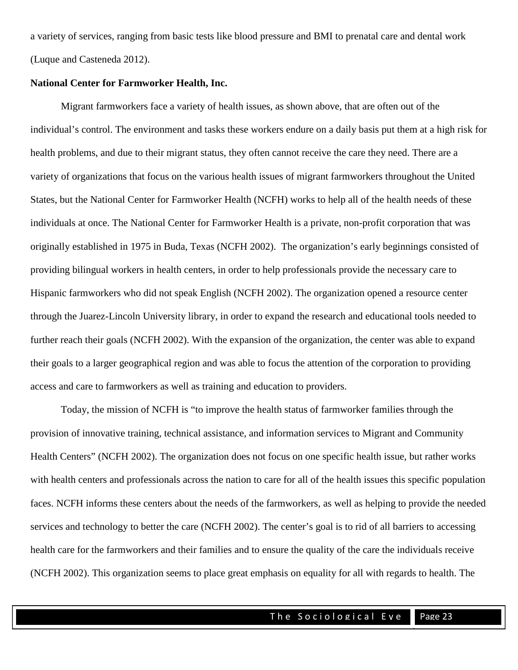a variety of services, ranging from basic tests like blood pressure and BMI to prenatal care and dental work (Luque and Casteneda 2012).

#### **National Center for Farmworker Health, Inc.**

 Migrant farmworkers face a variety of health issues, as shown above, that are often out of the individual's control. The environment and tasks these workers endure on a daily basis put them at a high risk for health problems, and due to their migrant status, they often cannot receive the care they need. There are a variety of organizations that focus on the various health issues of migrant farmworkers throughout the United States, but the National Center for Farmworker Health (NCFH) works to help all of the health needs of these individuals at once. The National Center for Farmworker Health is a private, non-profit corporation that was originally established in 1975 in Buda, Texas (NCFH 2002). The organization's early beginnings consisted of providing bilingual workers in health centers, in order to help professionals provide the necessary care to Hispanic farmworkers who did not speak English (NCFH 2002). The organization opened a resource center through the Juarez-Lincoln University library, in order to expand the research and educational tools needed to further reach their goals (NCFH 2002). With the expansion of the organization, the center was able to expand their goals to a larger geographical region and was able to focus the attention of the corporation to providing access and care to farmworkers as well as training and education to providers.

Today, the mission of NCFH is "to improve the health status of farmworker families through the provision of innovative training, technical assistance, and information services to Migrant and Community Health Centers" (NCFH 2002). The organization does not focus on one specific health issue, but rather works with health centers and professionals across the nation to care for all of the health issues this specific population faces. NCFH informs these centers about the needs of the farmworkers, as well as helping to provide the needed services and technology to better the care (NCFH 2002). The center's goal is to rid of all barriers to accessing health care for the farmworkers and their families and to ensure the quality of the care the individuals receive (NCFH 2002). This organization seems to place great emphasis on equality for all with regards to health. The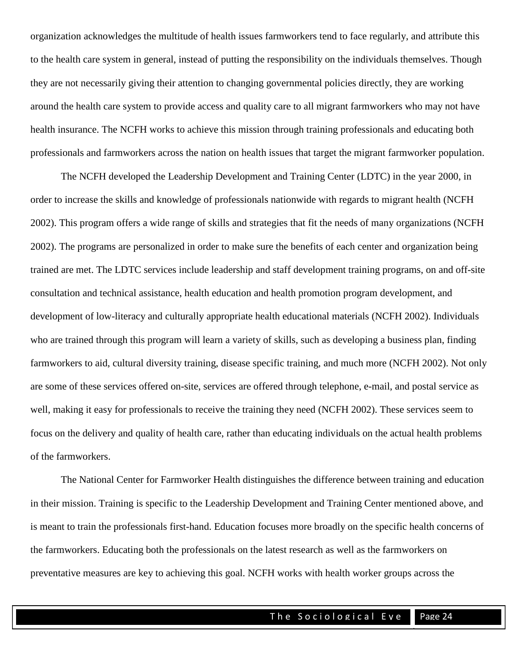organization acknowledges the multitude of health issues farmworkers tend to face regularly, and attribute this to the health care system in general, instead of putting the responsibility on the individuals themselves. Though they are not necessarily giving their attention to changing governmental policies directly, they are working around the health care system to provide access and quality care to all migrant farmworkers who may not have health insurance. The NCFH works to achieve this mission through training professionals and educating both professionals and farmworkers across the nation on health issues that target the migrant farmworker population.

 The NCFH developed the Leadership Development and Training Center (LDTC) in the year 2000, in order to increase the skills and knowledge of professionals nationwide with regards to migrant health (NCFH 2002). This program offers a wide range of skills and strategies that fit the needs of many organizations (NCFH 2002). The programs are personalized in order to make sure the benefits of each center and organization being trained are met. The LDTC services include leadership and staff development training programs, on and off-site consultation and technical assistance, health education and health promotion program development, and development of low-literacy and culturally appropriate health educational materials (NCFH 2002). Individuals who are trained through this program will learn a variety of skills, such as developing a business plan, finding farmworkers to aid, cultural diversity training, disease specific training, and much more (NCFH 2002). Not only are some of these services offered on-site, services are offered through telephone, e-mail, and postal service as well, making it easy for professionals to receive the training they need (NCFH 2002). These services seem to focus on the delivery and quality of health care, rather than educating individuals on the actual health problems of the farmworkers.

The National Center for Farmworker Health distinguishes the difference between training and education in their mission. Training is specific to the Leadership Development and Training Center mentioned above, and is meant to train the professionals first-hand. Education focuses more broadly on the specific health concerns of the farmworkers. Educating both the professionals on the latest research as well as the farmworkers on preventative measures are key to achieving this goal. NCFH works with health worker groups across the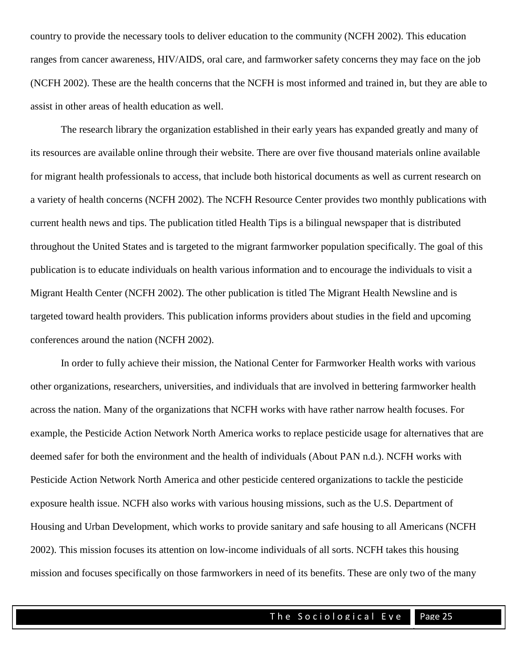country to provide the necessary tools to deliver education to the community (NCFH 2002). This education ranges from cancer awareness, HIV/AIDS, oral care, and farmworker safety concerns they may face on the job (NCFH 2002). These are the health concerns that the NCFH is most informed and trained in, but they are able to assist in other areas of health education as well.

The research library the organization established in their early years has expanded greatly and many of its resources are available online through their website. There are over five thousand materials online available for migrant health professionals to access, that include both historical documents as well as current research on a variety of health concerns (NCFH 2002). The NCFH Resource Center provides two monthly publications with current health news and tips. The publication titled Health Tips is a bilingual newspaper that is distributed throughout the United States and is targeted to the migrant farmworker population specifically. The goal of this publication is to educate individuals on health various information and to encourage the individuals to visit a Migrant Health Center (NCFH 2002). The other publication is titled The Migrant Health Newsline and is targeted toward health providers. This publication informs providers about studies in the field and upcoming conferences around the nation (NCFH 2002).

 In order to fully achieve their mission, the National Center for Farmworker Health works with various other organizations, researchers, universities, and individuals that are involved in bettering farmworker health across the nation. Many of the organizations that NCFH works with have rather narrow health focuses. For example, the Pesticide Action Network North America works to replace pesticide usage for alternatives that are deemed safer for both the environment and the health of individuals (About PAN n.d.). NCFH works with Pesticide Action Network North America and other pesticide centered organizations to tackle the pesticide exposure health issue. NCFH also works with various housing missions, such as the U.S. Department of Housing and Urban Development, which works to provide sanitary and safe housing to all Americans (NCFH 2002). This mission focuses its attention on low-income individuals of all sorts. NCFH takes this housing mission and focuses specifically on those farmworkers in need of its benefits. These are only two of the many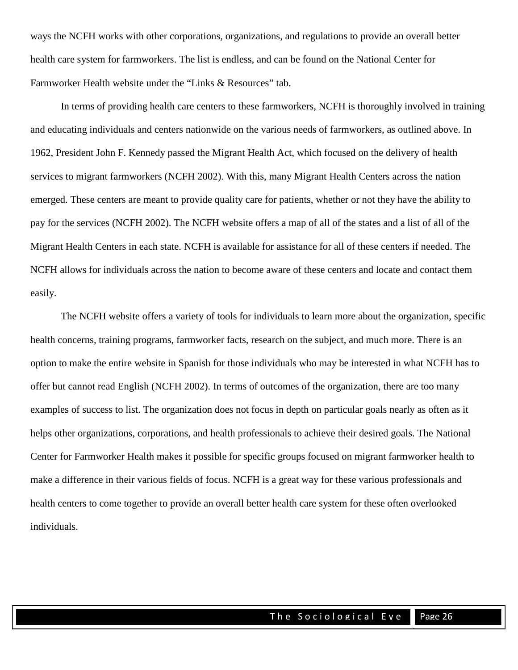ways the NCFH works with other corporations, organizations, and regulations to provide an overall better health care system for farmworkers. The list is endless, and can be found on the National Center for Farmworker Health website under the "Links & Resources" tab.

 In terms of providing health care centers to these farmworkers, NCFH is thoroughly involved in training and educating individuals and centers nationwide on the various needs of farmworkers, as outlined above. In 1962, President John F. Kennedy passed the Migrant Health Act, which focused on the delivery of health services to migrant farmworkers (NCFH 2002). With this, many Migrant Health Centers across the nation emerged. These centers are meant to provide quality care for patients, whether or not they have the ability to pay for the services (NCFH 2002). The NCFH website offers a map of all of the states and a list of all of the Migrant Health Centers in each state. NCFH is available for assistance for all of these centers if needed. The NCFH allows for individuals across the nation to become aware of these centers and locate and contact them easily.

The NCFH website offers a variety of tools for individuals to learn more about the organization, specific health concerns, training programs, farmworker facts, research on the subject, and much more. There is an option to make the entire website in Spanish for those individuals who may be interested in what NCFH has to offer but cannot read English (NCFH 2002). In terms of outcomes of the organization, there are too many examples of success to list. The organization does not focus in depth on particular goals nearly as often as it helps other organizations, corporations, and health professionals to achieve their desired goals. The National Center for Farmworker Health makes it possible for specific groups focused on migrant farmworker health to make a difference in their various fields of focus. NCFH is a great way for these various professionals and health centers to come together to provide an overall better health care system for these often overlooked individuals.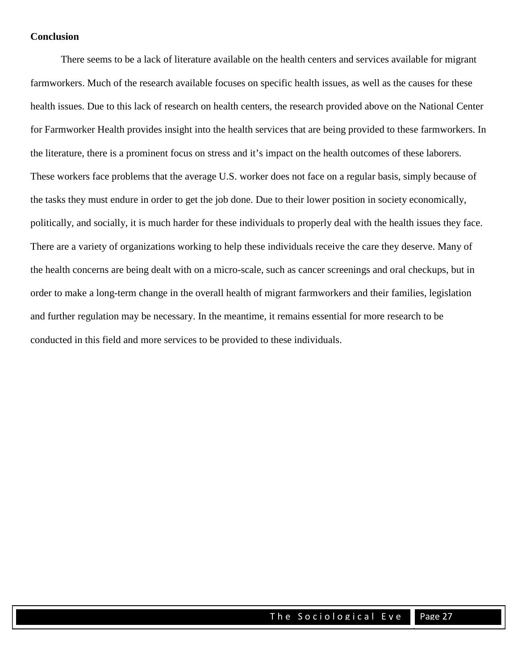#### **Conclusion**

There seems to be a lack of literature available on the health centers and services available for migrant farmworkers. Much of the research available focuses on specific health issues, as well as the causes for these health issues. Due to this lack of research on health centers, the research provided above on the National Center for Farmworker Health provides insight into the health services that are being provided to these farmworkers. In the literature, there is a prominent focus on stress and it's impact on the health outcomes of these laborers. These workers face problems that the average U.S. worker does not face on a regular basis, simply because of the tasks they must endure in order to get the job done. Due to their lower position in society economically, politically, and socially, it is much harder for these individuals to properly deal with the health issues they face. There are a variety of organizations working to help these individuals receive the care they deserve. Many of the health concerns are being dealt with on a micro-scale, such as cancer screenings and oral checkups, but in order to make a long-term change in the overall health of migrant farmworkers and their families, legislation and further regulation may be necessary. In the meantime, it remains essential for more research to be conducted in this field and more services to be provided to these individuals.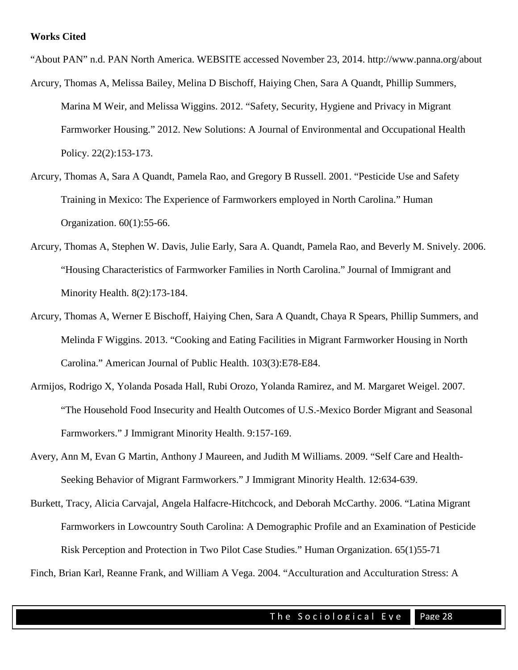"About PAN" n.d. PAN North America. WEBSITE accessed November 23, 2014. http://www.panna.org/about Arcury, Thomas A, Melissa Bailey, Melina D Bischoff, Haiying Chen, Sara A Quandt, Phillip Summers,

Marina M Weir, and Melissa Wiggins. 2012. "Safety, Security, Hygiene and Privacy in Migrant Farmworker Housing." 2012. New Solutions: A Journal of Environmental and Occupational Health Policy. 22(2):153-173.

- Arcury, Thomas A, Sara A Quandt, Pamela Rao, and Gregory B Russell. 2001. "Pesticide Use and Safety Training in Mexico: The Experience of Farmworkers employed in North Carolina." Human Organization. 60(1):55-66.
- Arcury, Thomas A, Stephen W. Davis, Julie Early, Sara A. Quandt, Pamela Rao, and Beverly M. Snively. 2006. "Housing Characteristics of Farmworker Families in North Carolina." Journal of Immigrant and Minority Health. 8(2):173-184.
- Arcury, Thomas A, Werner E Bischoff, Haiying Chen, Sara A Quandt, Chaya R Spears, Phillip Summers, and Melinda F Wiggins. 2013. "Cooking and Eating Facilities in Migrant Farmworker Housing in North Carolina." American Journal of Public Health. 103(3):E78-E84.
- Armijos, Rodrigo X, Yolanda Posada Hall, Rubi Orozo, Yolanda Ramirez, and M. Margaret Weigel. 2007. "The Household Food Insecurity and Health Outcomes of U.S.-Mexico Border Migrant and Seasonal Farmworkers." J Immigrant Minority Health. 9:157-169.
- Avery, Ann M, Evan G Martin, Anthony J Maureen, and Judith M Williams. 2009. "Self Care and Health-Seeking Behavior of Migrant Farmworkers." J Immigrant Minority Health. 12:634-639.
- Burkett, Tracy, Alicia Carvajal, Angela Halfacre-Hitchcock, and Deborah McCarthy. 2006. "Latina Migrant Farmworkers in Lowcountry South Carolina: A Demographic Profile and an Examination of Pesticide Risk Perception and Protection in Two Pilot Case Studies." Human Organization. 65(1)55-71

Finch, Brian Karl, Reanne Frank, and William A Vega. 2004. "Acculturation and Acculturation Stress: A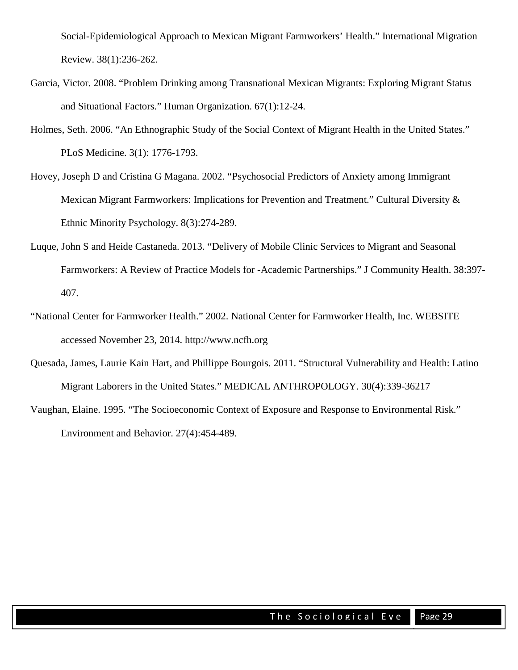Social-Epidemiological Approach to Mexican Migrant Farmworkers' Health." International Migration Review. 38(1):236-262.

- Garcia, Victor. 2008. "Problem Drinking among Transnational Mexican Migrants: Exploring Migrant Status and Situational Factors." Human Organization. 67(1):12-24.
- Holmes, Seth. 2006. "An Ethnographic Study of the Social Context of Migrant Health in the United States." PLoS Medicine. 3(1): 1776-1793.
- Hovey, Joseph D and Cristina G Magana. 2002. "Psychosocial Predictors of Anxiety among Immigrant Mexican Migrant Farmworkers: Implications for Prevention and Treatment." Cultural Diversity & Ethnic Minority Psychology. 8(3):274-289.
- Luque, John S and Heide Castaneda. 2013. "Delivery of Mobile Clinic Services to Migrant and Seasonal Farmworkers: A Review of Practice Models for -Academic Partnerships." J Community Health. 38:397- 407.
- "National Center for Farmworker Health." 2002. National Center for Farmworker Health, Inc. WEBSITE accessed November 23, 2014. http://www.ncfh.org
- Quesada, James, Laurie Kain Hart, and Phillippe Bourgois. 2011. "Structural Vulnerability and Health: Latino Migrant Laborers in the United States." MEDICAL ANTHROPOLOGY. 30(4):339-36217
- Vaughan, Elaine. 1995. "The Socioeconomic Context of Exposure and Response to Environmental Risk." Environment and Behavior. 27(4):454-489.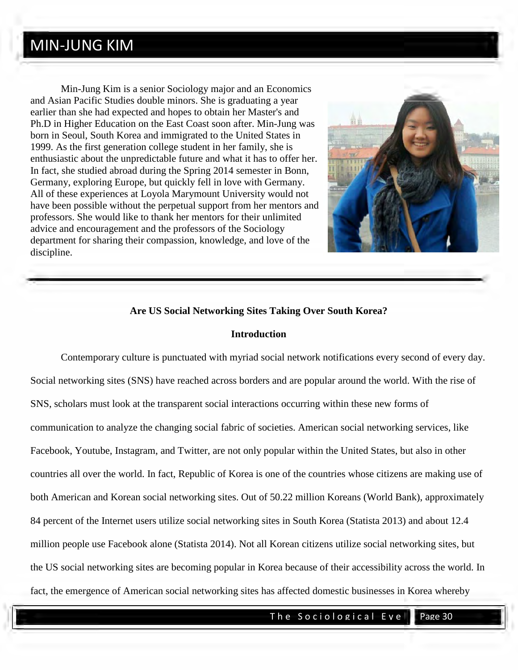### MIN-JUNG KIM

Min-Jung Kim is a senior Sociology major and an Economics and Asian Pacific Studies double minors. She is graduating a year earlier than she had expected and hopes to obtain her Master's and Ph.D in Higher Education on the East Coast soon after. Min-Jung was born in Seoul, South Korea and immigrated to the United States in 1999. As the first generation college student in her family, she is enthusiastic about the unpredictable future and what it has to offer her. In fact, she studied abroad during the Spring 2014 semester in Bonn, Germany, exploring Europe, but quickly fell in love with Germany. All of these experiences at Loyola Marymount University would not have been possible without the perpetual support from her mentors and professors. She would like to thank her mentors for their unlimited advice and encouragement and the professors of the Sociology department for sharing their compassion, knowledge, and love of the discipline.



#### **Are US Social Networking Sites Taking Over South Korea?**

#### **Introduction**

Contemporary culture is punctuated with myriad social network notifications every second of every day. Social networking sites (SNS) have reached across borders and are popular around the world. With the rise of SNS, scholars must look at the transparent social interactions occurring within these new forms of communication to analyze the changing social fabric of societies. American social networking services, like Facebook, Youtube, Instagram, and Twitter, are not only popular within the United States, but also in other countries all over the world. In fact, Republic of Korea is one of the countries whose citizens are making use of both American and Korean social networking sites. Out of 50.22 million Koreans (World Bank), approximately 84 percent of the Internet users utilize social networking sites in South Korea (Statista 2013) and about 12.4 million people use Facebook alone (Statista 2014). Not all Korean citizens utilize social networking sites, but the US social networking sites are becoming popular in Korea because of their accessibility across the world. In fact, the emergence of American social networking sites has affected domestic businesses in Korea whereby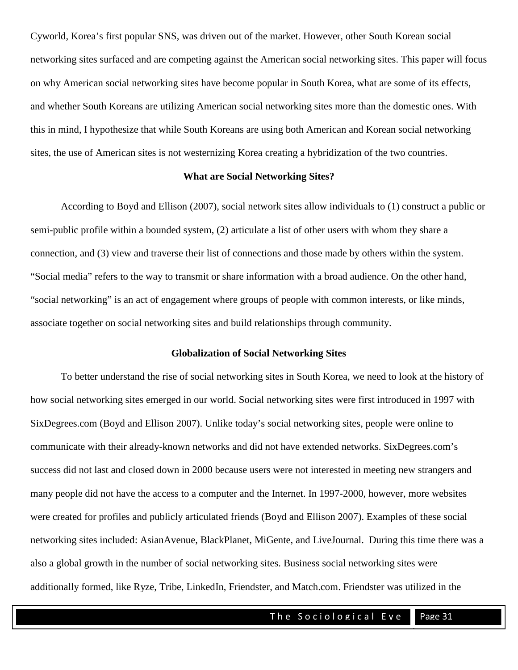Cyworld, Korea's first popular SNS, was driven out of the market. However, other South Korean social networking sites surfaced and are competing against the American social networking sites. This paper will focus on why American social networking sites have become popular in South Korea, what are some of its effects, and whether South Koreans are utilizing American social networking sites more than the domestic ones. With this in mind, I hypothesize that while South Koreans are using both American and Korean social networking sites, the use of American sites is not westernizing Korea creating a hybridization of the two countries.

#### **What are Social Networking Sites?**

 According to Boyd and Ellison (2007), social network sites allow individuals to (1) construct a public or semi-public profile within a bounded system, (2) articulate a list of other users with whom they share a connection, and (3) view and traverse their list of connections and those made by others within the system. "Social media" refers to the way to transmit or share information with a broad audience. On the other hand, "social networking" is an act of engagement where groups of people with common interests, or like minds, associate together on social networking sites and build relationships through community.

#### **Globalization of Social Networking Sites**

To better understand the rise of social networking sites in South Korea, we need to look at the history of how social networking sites emerged in our world. Social networking sites were first introduced in 1997 with SixDegrees.com (Boyd and Ellison 2007). Unlike today's social networking sites, people were online to communicate with their already-known networks and did not have extended networks. SixDegrees.com's success did not last and closed down in 2000 because users were not interested in meeting new strangers and many people did not have the access to a computer and the Internet. In 1997-2000, however, more websites were created for profiles and publicly articulated friends (Boyd and Ellison 2007). Examples of these social networking sites included: AsianAvenue, BlackPlanet, MiGente, and LiveJournal. During this time there was a also a global growth in the number of social networking sites. Business social networking sites were additionally formed, like Ryze, Tribe, LinkedIn, Friendster, and Match.com. Friendster was utilized in the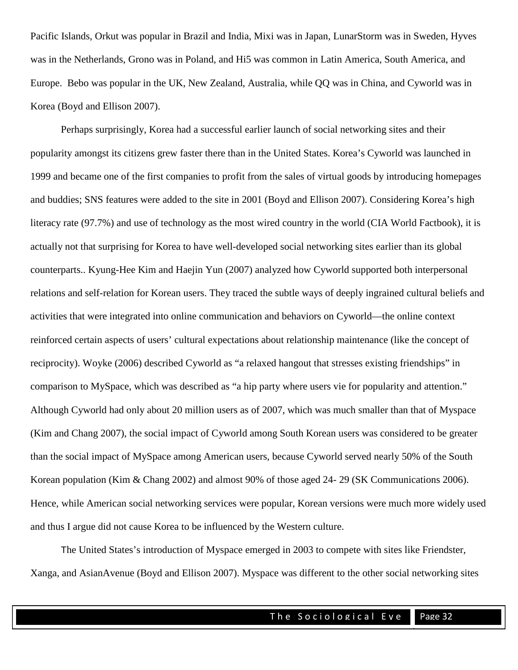Pacific Islands, Orkut was popular in Brazil and India, Mixi was in Japan, LunarStorm was in Sweden, Hyves was in the Netherlands, Grono was in Poland, and Hi5 was common in Latin America, South America, and Europe. Bebo was popular in the UK, New Zealand, Australia, while QQ was in China, and Cyworld was in Korea (Boyd and Ellison 2007).

Perhaps surprisingly, Korea had a successful earlier launch of social networking sites and their popularity amongst its citizens grew faster there than in the United States. Korea's Cyworld was launched in 1999 and became one of the first companies to profit from the sales of virtual goods by introducing homepages and buddies; SNS features were added to the site in 2001 (Boyd and Ellison 2007). Considering Korea's high literacy rate (97.7%) and use of technology as the most wired country in the world (CIA World Factbook), it is actually not that surprising for Korea to have well-developed social networking sites earlier than its global counterparts.. Kyung-Hee Kim and Haejin Yun (2007) analyzed how Cyworld supported both interpersonal relations and self-relation for Korean users. They traced the subtle ways of deeply ingrained cultural beliefs and activities that were integrated into online communication and behaviors on Cyworld—the online context reinforced certain aspects of users' cultural expectations about relationship maintenance (like the concept of reciprocity). Woyke (2006) described Cyworld as "a relaxed hangout that stresses existing friendships" in comparison to MySpace, which was described as "a hip party where users vie for popularity and attention." Although Cyworld had only about 20 million users as of 2007, which was much smaller than that of Myspace (Kim and Chang 2007), the social impact of Cyworld among South Korean users was considered to be greater than the social impact of MySpace among American users, because Cyworld served nearly 50% of the South Korean population (Kim & Chang 2002) and almost 90% of those aged 24- 29 [\(SK Communications 2006\)](http://onlinelibrary.wiley.com/doi/10.1111/j.1083-6101.2007.00397.x/full%23b27). Hence, while American social networking services were popular, Korean versions were much more widely used and thus I argue did not cause Korea to be influenced by the Western culture.

The United States's introduction of Myspace emerged in 2003 to compete with sites like Friendster, Xanga, and AsianAvenue (Boyd and Ellison 2007). Myspace was different to the other social networking sites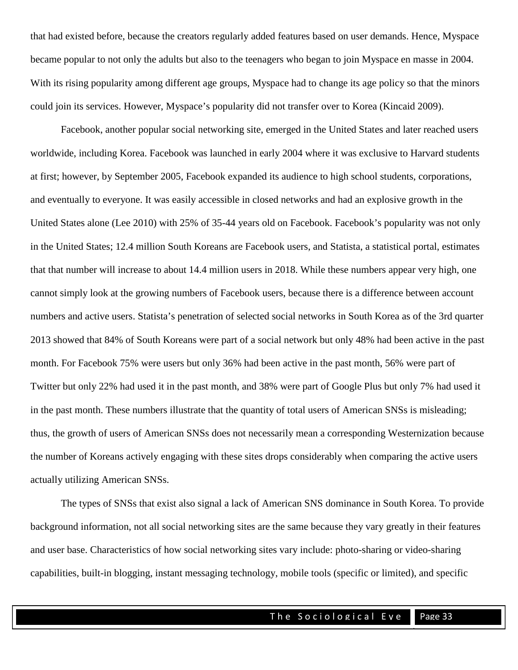that had existed before, because the creators regularly added features based on user demands. Hence, Myspace became popular to not only the adults but also to the teenagers who began to join Myspace en masse in 2004. With its rising popularity among different age groups, Myspace had to change its age policy so that the minors could join its services. However, Myspace's popularity did not transfer over to Korea (Kincaid 2009).

Facebook, another popular social networking site, emerged in the United States and later reached users worldwide, including Korea. Facebook was launched in early 2004 where it was exclusive to Harvard students at first; however, by September 2005, Facebook expanded its audience to high school students, corporations, and eventually to everyone. It was easily accessible in closed networks and had an explosive growth in the United States alone (Lee 2010) with 25% of 35-44 years old on Facebook. Facebook's popularity was not only in the United States; 12.4 million South Koreans are Facebook users, and Statista, a statistical portal, estimates that that number will increase to about 14.4 million users in 2018. While these numbers appear very high, one cannot simply look at the growing numbers of Facebook users, because there is a difference between account numbers and active users. Statista's penetration of selected social networks in South Korea as of the 3rd quarter 2013 showed that 84% of South Koreans were part of a social network but only 48% had been active in the past month. For Facebook 75% were users but only 36% had been active in the past month, 56% were part of Twitter but only 22% had used it in the past month, and 38% were part of Google Plus but only 7% had used it in the past month. These numbers illustrate that the quantity of total users of American SNSs is misleading; thus, the growth of users of American SNSs does not necessarily mean a corresponding Westernization because the number of Koreans actively engaging with these sites drops considerably when comparing the active users actually utilizing American SNSs.

The types of SNSs that exist also signal a lack of American SNS dominance in South Korea. To provide background information, not all social networking sites are the same because they vary greatly in their features and user base. Characteristics of how social networking sites vary include: photo-sharing or video-sharing capabilities, built-in blogging, instant messaging technology, mobile tools (specific or limited), and specific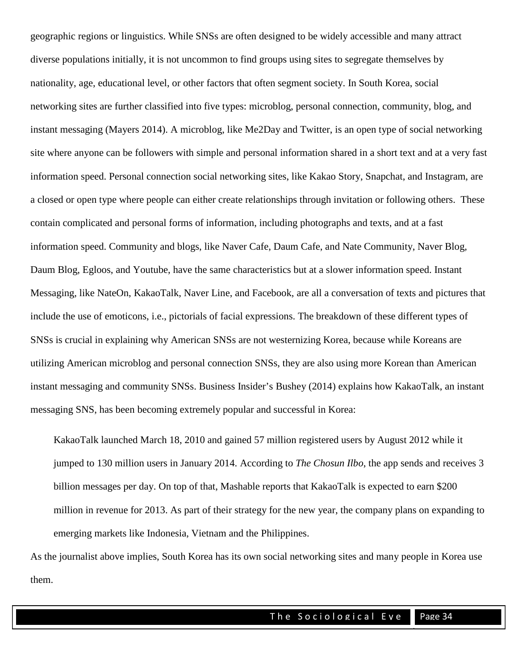geographic regions or linguistics. While SNSs are often designed to be widely accessible and many attract diverse populations initially, it is not uncommon to find groups using sites to segregate themselves by nationality, age, educational level, or other factors that often segment society. In South Korea, social networking sites are further classified into five types: microblog, personal connection, community, blog, and instant messaging (Mayers 2014). A microblog, like Me2Day and Twitter, is an open type of social networking site where anyone can be followers with simple and personal information shared in a short text and at a very fast information speed. Personal connection social networking sites, like Kakao Story, Snapchat, and Instagram, are a closed or open type where people can either create relationships through invitation or following others. These contain complicated and personal forms of information, including photographs and texts, and at a fast information speed. Community and blogs, like Naver Cafe, Daum Cafe, and Nate Community, Naver Blog, Daum Blog, Egloos, and Youtube, have the same characteristics but at a slower information speed. Instant Messaging, like NateOn, KakaoTalk, Naver Line, and Facebook, are all a conversation of texts and pictures that include the use of emoticons, i.e., pictorials of facial expressions. The breakdown of these different types of SNSs is crucial in explaining why American SNSs are not westernizing Korea, because while Koreans are utilizing American microblog and personal connection SNSs, they are also using more Korean than American instant messaging and community SNSs. Business Insider's Bushey (2014) explains how KakaoTalk, an instant messaging SNS, has been becoming extremely popular and successful in Korea:

KakaoTalk launched March 18, 2010 and gained 57 million registered users by August 2012 while it jumped to 130 million users in January 2014. According to *The Chosun Ilbo*, the app sends and receives 3 billion messages per day. On top of that, Mashable reports that KakaoTalk is expected to earn \$200 million in revenue for 2013. As part of their strategy for the new year, the company plans on expanding to emerging markets like Indonesia, Vietnam and the Philippines.

As the journalist above implies, South Korea has its own social networking sites and many people in Korea use them.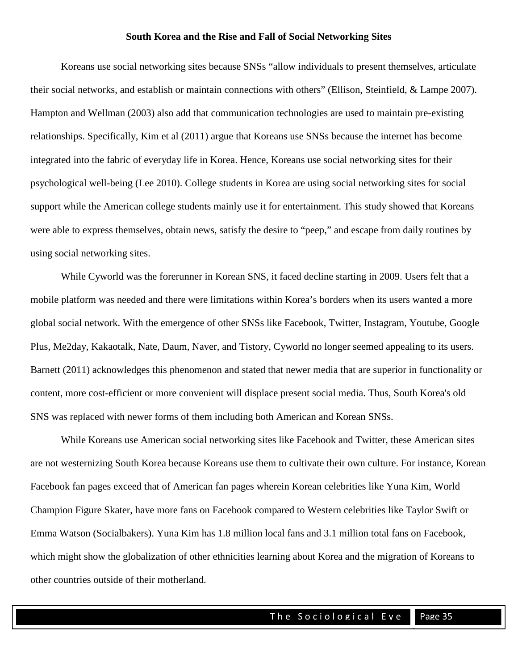#### **South Korea and the Rise and Fall of Social Networking Sites**

 Koreans use social networking sites because SNSs "allow individuals to present themselves, articulate their social networks, and establish or maintain connections with others" [\(Ellison, Steinfield, & Lampe](http://onlinelibrary.wiley.com/doi/10.1111/j.1083-6101.2007.00397.x/full%23b9) 2007). Hampton and Wellman (2003) also add that communication technologies are used to maintain pre-existing relationships. Specifically, Kim et al (2011) argue that Koreans use SNSs because the internet has become integrated into the fabric of everyday life in Korea. Hence, Koreans use social networking sites for their psychological well-being (Lee 2010). College students in Korea are using social networking sites for social support while the American college students mainly use it for entertainment. This study showed that Koreans were able to express themselves, obtain news, satisfy the desire to "peep," and escape from daily routines by using social networking sites.

 While Cyworld was the forerunner in Korean SNS, it faced decline starting in 2009. Users felt that a mobile platform was needed and there were limitations within Korea's borders when its users wanted a more global social network. With the emergence of other SNSs like Facebook, Twitter, Instagram, Youtube, Google Plus, Me2day, Kakaotalk, Nate, Daum, Naver, and Tistory, Cyworld no longer seemed appealing to its users. Barnett (2011) acknowledges this phenomenon and stated that newer media that are superior in functionality or content, more cost-efficient or more convenient will displace present social media. Thus, South Korea's old SNS was replaced with newer forms of them including both American and Korean SNSs.

While Koreans use American social networking sites like Facebook and Twitter, these American sites are not westernizing South Korea because Koreans use them to cultivate their own culture. For instance, Korean Facebook fan pages exceed that of American fan pages wherein Korean celebrities like Yuna Kim, World Champion Figure Skater, have more fans on Facebook compared to Western celebrities like Taylor Swift or Emma Watson (Socialbakers). Yuna Kim has 1.8 million local fans and 3.1 million total fans on Facebook, which might show the globalization of other ethnicities learning about Korea and the migration of Koreans to other countries outside of their motherland.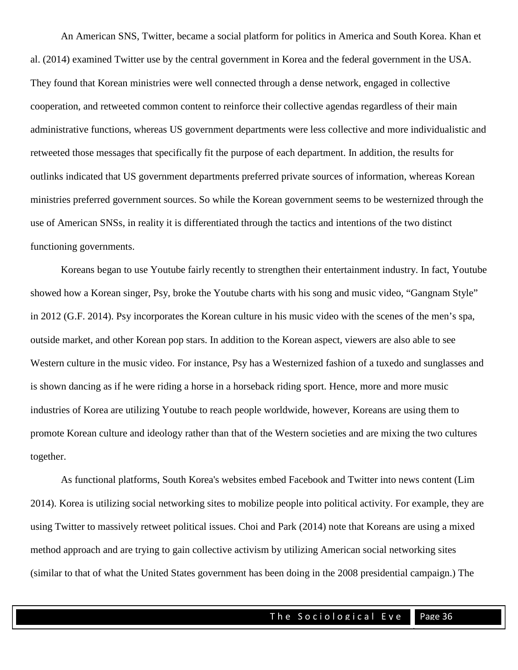An American SNS, Twitter, became a social platform for politics in America and South Korea. Khan et al. (2014) examined Twitter use by the central government in Korea and the federal government in the USA. They found that Korean ministries were well connected through a dense network, engaged in collective cooperation, and retweeted common content to reinforce their collective agendas regardless of their main administrative functions, whereas US government departments were less collective and more individualistic and retweeted those messages that specifically fit the purpose of each department. In addition, the results for outlinks indicated that US government departments preferred private sources of information, whereas Korean ministries preferred government sources. So while the Korean government seems to be westernized through the use of American SNSs, in reality it is differentiated through the tactics and intentions of the two distinct functioning governments.

Koreans began to use Youtube fairly recently to strengthen their entertainment industry. In fact, Youtube showed how a Korean singer, Psy, broke the Youtube charts with his song and music video, "Gangnam Style" in 2012 (G.F. 2014). Psy incorporates the Korean culture in his music video with the scenes of the men's spa, outside market, and other Korean pop stars. In addition to the Korean aspect, viewers are also able to see Western culture in the music video. For instance, Psy has a Westernized fashion of a tuxedo and sunglasses and is shown dancing as if he were riding a horse in a horseback riding sport. Hence, more and more music industries of Korea are utilizing Youtube to reach people worldwide, however, Koreans are using them to promote Korean culture and ideology rather than that of the Western societies and are mixing the two cultures together.

As functional platforms, South Korea's websites embed Facebook and Twitter into news content (Lim 2014). Korea is utilizing social networking sites to mobilize people into political activity. For example, they are using Twitter to massively retweet political issues. Choi and Park (2014) note that Koreans are using a mixed method approach and are trying to gain collective activism by utilizing American social networking sites (similar to that of what the United States government has been doing in the 2008 presidential campaign.) The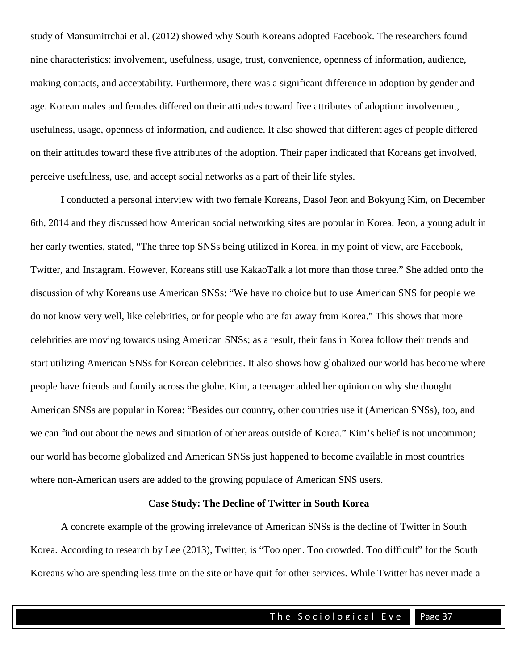study of Mansumitrchai et al. (2012) showed why South Koreans adopted Facebook. The researchers found nine characteristics: involvement, usefulness, usage, trust, convenience, openness of information, audience, making contacts, and acceptability. Furthermore, there was a significant difference in adoption by gender and age. Korean males and females differed on their attitudes toward five attributes of adoption: involvement, usefulness, usage, openness of information, and audience. It also showed that different ages of people differed on their attitudes toward these five attributes of the adoption. Their paper indicated that Koreans get involved, perceive usefulness, use, and accept social networks as a part of their life styles.

I conducted a personal interview with two female Koreans, Dasol Jeon and Bokyung Kim, on December 6th, 2014 and they discussed how American social networking sites are popular in Korea. Jeon, a young adult in her early twenties, stated, "The three top SNSs being utilized in Korea, in my point of view, are Facebook, Twitter, and Instagram. However, Koreans still use KakaoTalk a lot more than those three." She added onto the discussion of why Koreans use American SNSs: "We have no choice but to use American SNS for people we do not know very well, like celebrities, or for people who are far away from Korea." This shows that more celebrities are moving towards using American SNSs; as a result, their fans in Korea follow their trends and start utilizing American SNSs for Korean celebrities. It also shows how globalized our world has become where people have friends and family across the globe. Kim, a teenager added her opinion on why she thought American SNSs are popular in Korea: "Besides our country, other countries use it (American SNSs), too, and we can find out about the news and situation of other areas outside of Korea." Kim's belief is not uncommon; our world has become globalized and American SNSs just happened to become available in most countries where non-American users are added to the growing populace of American SNS users.

#### **Case Study: The Decline of Twitter in South Korea**

A concrete example of the growing irrelevance of American SNSs is the decline of Twitter in South Korea. According to research by Lee (2013), Twitter, is "Too open. Too crowded. Too difficult" for the South Koreans who are spending less time on the site or have quit for other services. While Twitter has never made a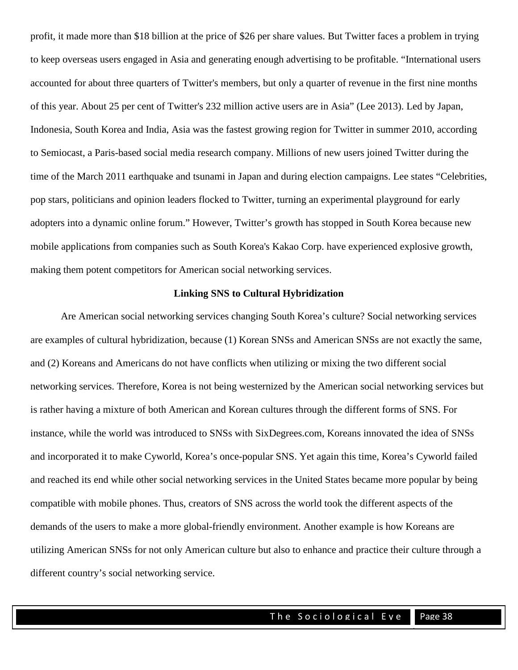profit, it made more than \$18 billion at the price of \$26 per share values. But Twitter faces a problem in trying to keep overseas users engaged in Asia and generating enough advertising to be profitable. "International users accounted for about three quarters of Twitter's members, but only a quarter of revenue in the first nine months of this year. About 25 per cent of Twitter's 232 million active users are in Asia" (Lee 2013). Led by Japan, Indonesia, South Korea and India, Asia was the fastest growing region for Twitter in summer 2010, according to Semiocast, a Paris-based social media research company. Millions of new users joined Twitter during the time of the March 2011 earthquake and tsunami in Japan and during election campaigns. Lee states "Celebrities, pop stars, politicians and opinion leaders flocked to Twitter, turning an experimental playground for early adopters into a dynamic online forum." However, Twitter's growth has stopped in South Korea because new mobile applications from companies such as South Korea's Kakao Corp. have experienced explosive growth, making them potent competitors for American social networking services.

#### **Linking SNS to Cultural Hybridization**

Are American social networking services changing South Korea's culture? Social networking services are examples of cultural hybridization, because (1) Korean SNSs and American SNSs are not exactly the same, and (2) Koreans and Americans do not have conflicts when utilizing or mixing the two different social networking services. Therefore, Korea is not being westernized by the American social networking services but is rather having a mixture of both American and Korean cultures through the different forms of SNS. For instance, while the world was introduced to SNSs with SixDegrees.com, Koreans innovated the idea of SNSs and incorporated it to make Cyworld, Korea's once-popular SNS. Yet again this time, Korea's Cyworld failed and reached its end while other social networking services in the United States became more popular by being compatible with mobile phones. Thus, creators of SNS across the world took the different aspects of the demands of the users to make a more global-friendly environment. Another example is how Koreans are utilizing American SNSs for not only American culture but also to enhance and practice their culture through a different country's social networking service.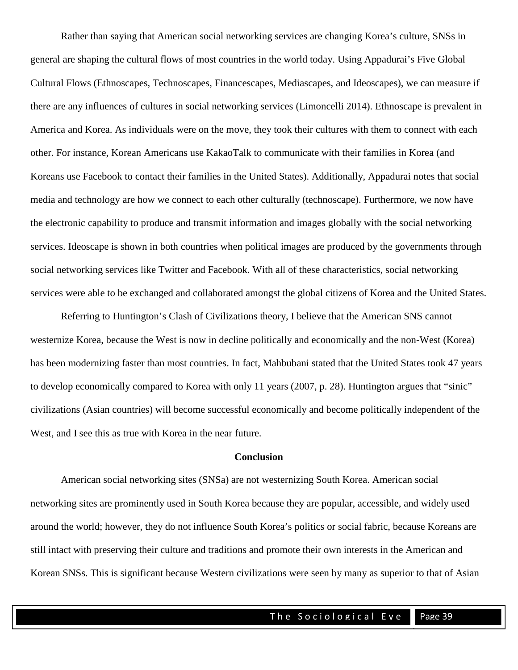Rather than saying that American social networking services are changing Korea's culture, SNSs in general are shaping the cultural flows of most countries in the world today. Using Appadurai's Five Global Cultural Flows (Ethnoscapes, Technoscapes, Financescapes, Mediascapes, and Ideoscapes), we can measure if there are any influences of cultures in social networking services (Limoncelli 2014). Ethnoscape is prevalent in America and Korea. As individuals were on the move, they took their cultures with them to connect with each other. For instance, Korean Americans use KakaoTalk to communicate with their families in Korea (and Koreans use Facebook to contact their families in the United States). Additionally, Appadurai notes that social media and technology are how we connect to each other culturally (technoscape). Furthermore, we now have the electronic capability to produce and transmit information and images globally with the social networking services. Ideoscape is shown in both countries when political images are produced by the governments through social networking services like Twitter and Facebook. With all of these characteristics, social networking services were able to be exchanged and collaborated amongst the global citizens of Korea and the United States.

 Referring to Huntington's Clash of Civilizations theory, I believe that the American SNS cannot westernize Korea, because the West is now in decline politically and economically and the non-West (Korea) has been modernizing faster than most countries. In fact, Mahbubani stated that the United States took 47 years to develop economically compared to Korea with only 11 years (2007, p. 28). Huntington argues that "sinic" civilizations (Asian countries) will become successful economically and become politically independent of the West, and I see this as true with Korea in the near future.

#### **Conclusion**

American social networking sites (SNSa) are not westernizing South Korea. American social networking sites are prominently used in South Korea because they are popular, accessible, and widely used around the world; however, they do not influence South Korea's politics or social fabric, because Koreans are still intact with preserving their culture and traditions and promote their own interests in the American and Korean SNSs. This is significant because Western civilizations were seen by many as superior to that of Asian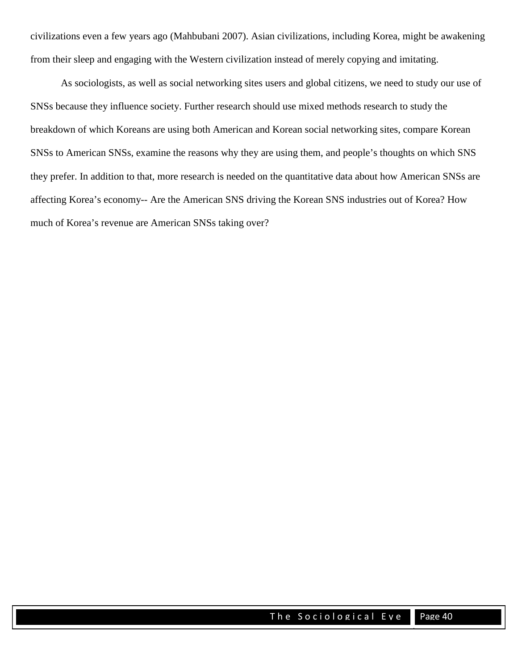civilizations even a few years ago (Mahbubani 2007). Asian civilizations, including Korea, might be awakening from their sleep and engaging with the Western civilization instead of merely copying and imitating.

As sociologists, as well as social networking sites users and global citizens, we need to study our use of SNSs because they influence society. Further research should use mixed methods research to study the breakdown of which Koreans are using both American and Korean social networking sites, compare Korean SNSs to American SNSs, examine the reasons why they are using them, and people's thoughts on which SNS they prefer. In addition to that, more research is needed on the quantitative data about how American SNSs are affecting Korea's economy-- Are the American SNS driving the Korean SNS industries out of Korea? How much of Korea's revenue are American SNSs taking over?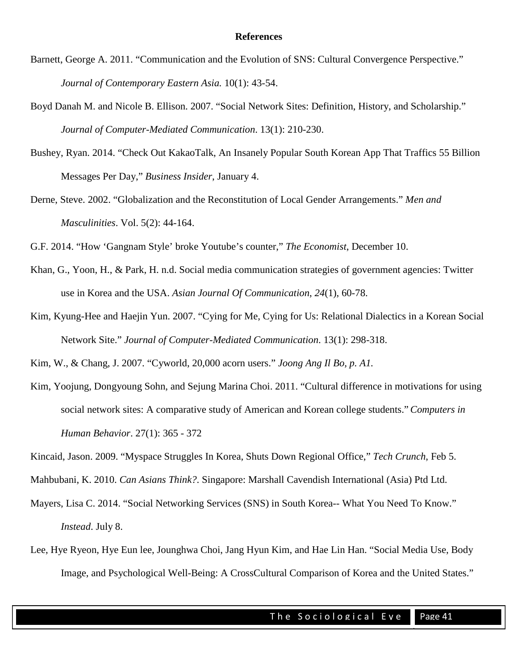#### **References**

- Barnett, George A. 2011. "Communication and the Evolution of SNS: Cultural Convergence Perspective." *Journal of Contemporary Eastern Asia.* 10(1): 43-54.
- Boyd Danah M. and Nicole B. Ellison. 2007. "Social Network Sites: Definition, History, and Scholarship." *Journal of Computer-Mediated Communication*. 13(1): 210-230.
- Bushey, Ryan. 2014. "Check Out KakaoTalk, An Insanely Popular South Korean App That Traffics 55 Billion Messages Per Day," *Business Insider*, January 4.
- Derne, Steve. 2002. "Globalization and the Reconstitution of Local Gender Arrangements." *Men and Masculinities*. Vol. 5(2): 44-164.

G.F. 2014. "How 'Gangnam Style' broke Youtube's counter," *The Economist*, December 10.

- Khan, G., Yoon, H., & Park, H. n.d. Social media communication strategies of government agencies: Twitter use in Korea and the USA. *Asian Journal Of Communication*, *24*(1), 60-78.
- Kim, Kyung-Hee and Haejin Yun. 2007. "Cying for Me, Cying for Us: Relational Dialectics in a Korean Social Network Site." *Journal of Computer-Mediated Communication*. 13(1): 298-318.

Kim, W., & Chang, J. 2007. "Cyworld, 20,000 acorn users." *Joong Ang Il Bo, p. A1.*

Kim, Yoojung, Dongyoung Sohn, and Sejung Marina Choi. 2011. "Cultural difference in motivations for using social network sites: A comparative study of American and Korean college students."*Computers in Human Behavior*. 27(1): 365 - 372

Kincaid, Jason. 2009. "Myspace Struggles In Korea, Shuts Down Regional Office," *Tech Crunch*, Feb 5.

Mahbubani, K. 2010. *Can Asians Think?*. Singapore: Marshall Cavendish International (Asia) Ptd Ltd.

- Mayers, Lisa C. 2014. "Social Networking Services (SNS) in South Korea-- What You Need To Know." *Instead*. July 8.
- Lee, Hye Ryeon, Hye Eun lee, Jounghwa Choi, Jang Hyun Kim, and Hae Lin Han. "Social Media Use, Body Image, and Psychological Well-Being: A CrossCultural Comparison of Korea and the United States."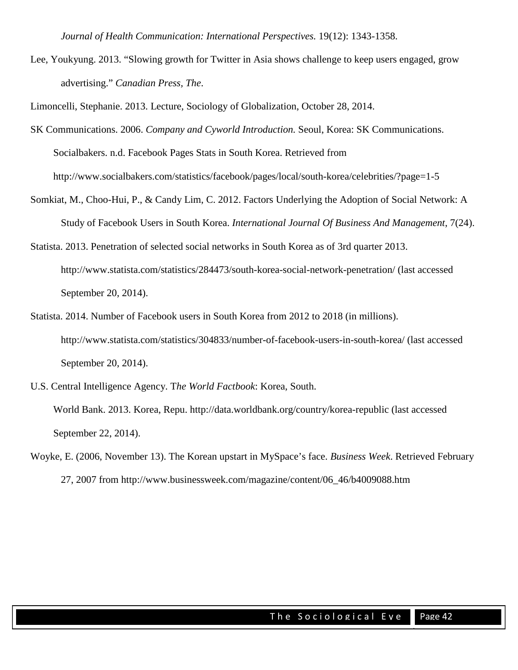*Journal of Health Communication: International Perspectives.* 19(12): 1343-1358.

Lee, Youkyung. 2013. "Slowing growth for Twitter in Asia shows challenge to keep users engaged, grow advertising." *Canadian Press, The*.

Limoncelli, Stephanie. 2013. Lecture, Sociology of Globalization, October 28, 2014.

- SK Communications. 2006. *Company and Cyworld Introduction.* Seoul, Korea: SK Communications. Socialbakers. n.d. Facebook Pages Stats in South Korea. Retrieved from <http://www.socialbakers.com/statistics/facebook/pages/local/south-korea/celebrities/?page=1-5>
- Somkiat, M., Choo-Hui, P., & Candy Lim, C. 2012. Factors Underlying the Adoption of Social Network: A Study of Facebook Users in South Korea. *International Journal Of Business And Management*, 7(24).
- Statista. 2013. Penetration of selected social networks in South Korea as of 3rd quarter 2013. http://www.statista.com/statistics/284473/south-korea-social-network-penetration/ (last accessed September 20, 2014).
- Statista. 2014. Number of Facebook users in South Korea from 2012 to 2018 (in millions). http://www.statista.com/statistics/304833/number-of-facebook-users-in-south-korea/ (last accessed September 20, 2014).
- U.S. Central Intelligence Agency. T*he World Factbook*: Korea, South. World Bank. 2013. Korea, Repu. http://data.worldbank.org/country/korea-republic (last accessed September 22, 2014).
- Woyke, E. (2006, November 13). The Korean upstart in MySpace's face. *Business Week*. Retrieved February 27, 2007 from [http://www.businessweek.com/magazine/content/06\\_46/b4009088.htm](http://www.businessweek.com/magazine/content/06_46/b4009088.htm)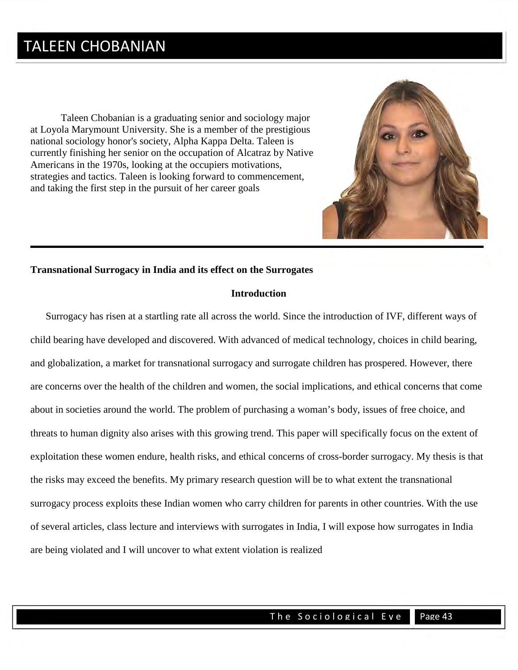### TALEEN CHOBANIAN

Taleen Chobanian is a graduating senior and sociology major at Loyola Marymount University. She is a member of the prestigious national sociology honor's society, Alpha Kappa Delta. Taleen is currently finishing her senior on the occupation of Alcatraz by Native Americans in the 1970s, looking at the occupiers motivations, strategies and tactics. Taleen is looking forward to commencement, and taking the first step in the pursuit of her career goals



#### **Transnational Surrogacy in India and its effect on the Surrogates**

#### **Introduction**

 Surrogacy has risen at a startling rate all across the world. Since the introduction of IVF, different ways of child bearing have developed and discovered. With advanced of medical technology, choices in child bearing, and globalization, a market for transnational surrogacy and surrogate children has prospered. However, there are concerns over the health of the children and women, the social implications, and ethical concerns that come about in societies around the world. The problem of purchasing a woman's body, issues of free choice, and threats to human dignity also arises with this growing trend. This paper will specifically focus on the extent of exploitation these women endure, health risks, and ethical concerns of cross-border surrogacy. My thesis is that the risks may exceed the benefits. My primary research question will be to what extent the transnational surrogacy process exploits these Indian women who carry children for parents in other countries. With the use of several articles, class lecture and interviews with surrogates in India, I will expose how surrogates in India are being violated and I will uncover to what extent violation is realized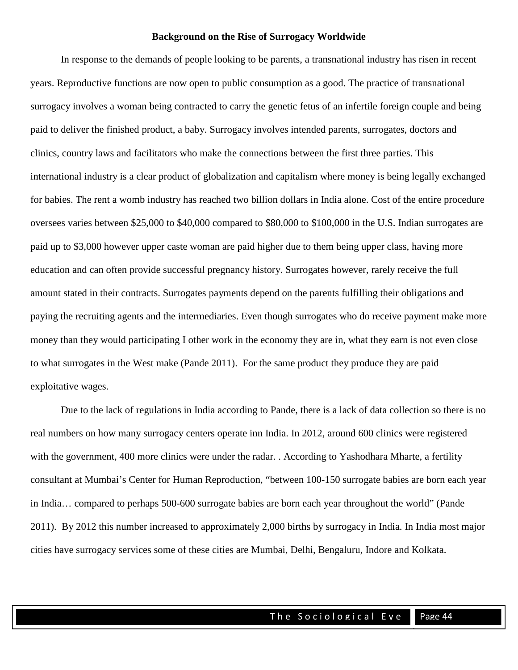#### **Background on the Rise of Surrogacy Worldwide**

In response to the demands of people looking to be parents, a transnational industry has risen in recent years. Reproductive functions are now open to public consumption as a good. The practice of transnational surrogacy involves a woman being contracted to carry the genetic fetus of an infertile foreign couple and being paid to deliver the finished product, a baby. Surrogacy involves intended parents, surrogates, doctors and clinics, country laws and facilitators who make the connections between the first three parties. This international industry is a clear product of globalization and capitalism where money is being legally exchanged for babies. The rent a womb industry has reached two billion dollars in India alone. Cost of the entire procedure oversees varies between \$25,000 to \$40,000 compared to \$80,000 to \$100,000 in the U.S. Indian surrogates are paid up to \$3,000 however upper caste woman are paid higher due to them being upper class, having more education and can often provide successful pregnancy history. Surrogates however, rarely receive the full amount stated in their contracts. Surrogates payments depend on the parents fulfilling their obligations and paying the recruiting agents and the intermediaries. Even though surrogates who do receive payment make more money than they would participating I other work in the economy they are in, what they earn is not even close to what surrogates in the West make (Pande 2011). For the same product they produce they are paid exploitative wages.

Due to the lack of regulations in India according to Pande, there is a lack of data collection so there is no real numbers on how many surrogacy centers operate inn India. In 2012, around 600 clinics were registered with the government, 400 more clinics were under the radar. . According to Yashodhara Mharte, a fertility consultant at Mumbai's Center for Human Reproduction, "between 100-150 surrogate babies are born each year in India… compared to perhaps 500-600 surrogate babies are born each year throughout the world" (Pande 2011). By 2012 this number increased to approximately 2,000 births by surrogacy in India. In India most major cities have surrogacy services some of these cities are Mumbai, Delhi, Bengaluru, Indore and Kolkata.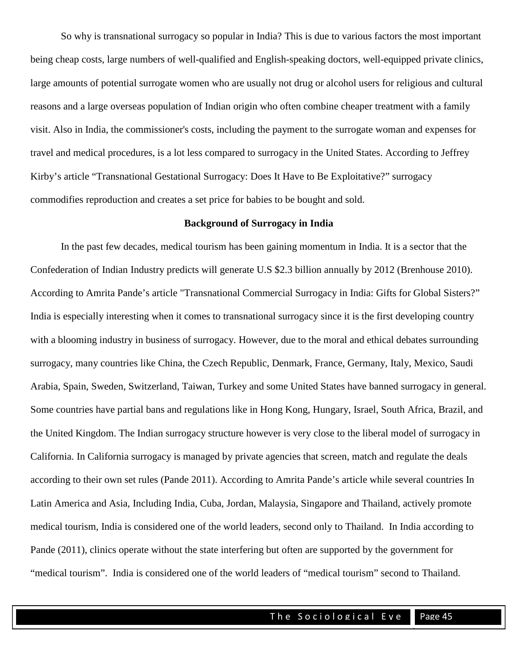So why is transnational surrogacy so popular in India? This is due to various factors the most important being cheap costs, large numbers of well-qualified and English-speaking doctors, well-equipped private clinics, large amounts of potential surrogate women who are usually not drug or alcohol users for religious and cultural reasons and a large overseas population of Indian origin who often combine cheaper treatment with a family visit. Also in India, the commissioner's costs, including the payment to the surrogate woman and expenses for travel and medical procedures, is a lot less compared to surrogacy in the United States. According to Jeffrey Kirby's article "Transnational Gestational Surrogacy: Does It Have to Be Exploitative?" surrogacy commodifies reproduction and creates a set price for babies to be bought and sold.

#### **Background of Surrogacy in India**

In the past few decades, medical tourism has been gaining momentum in India. It is a sector that the Confederation of Indian Industry predicts will generate U.S \$2.3 billion annually by 2012 (Brenhouse 2010). According to Amrita Pande's article "Transnational Commercial Surrogacy in India: Gifts for Global Sisters?" India is especially interesting when it comes to transnational surrogacy since it is the first developing country with a blooming industry in business of surrogacy. However, due to the moral and ethical debates surrounding surrogacy, many countries like China, the Czech Republic, Denmark, France, Germany, Italy, Mexico, Saudi Arabia, Spain, Sweden, Switzerland, Taiwan, Turkey and some United States have banned surrogacy in general. Some countries have partial bans and regulations like in Hong Kong, Hungary, Israel, South Africa, Brazil, and the United Kingdom. The Indian surrogacy structure however is very close to the liberal model of surrogacy in California. In California surrogacy is managed by private agencies that screen, match and regulate the deals according to their own set rules (Pande 2011). According to Amrita Pande's article while several countries In Latin America and Asia, Including India, Cuba, Jordan, Malaysia, Singapore and Thailand, actively promote medical tourism, India is considered one of the world leaders, second only to Thailand. In India according to Pande (2011), clinics operate without the state interfering but often are supported by the government for "medical tourism". India is considered one of the world leaders of "medical tourism" second to Thailand.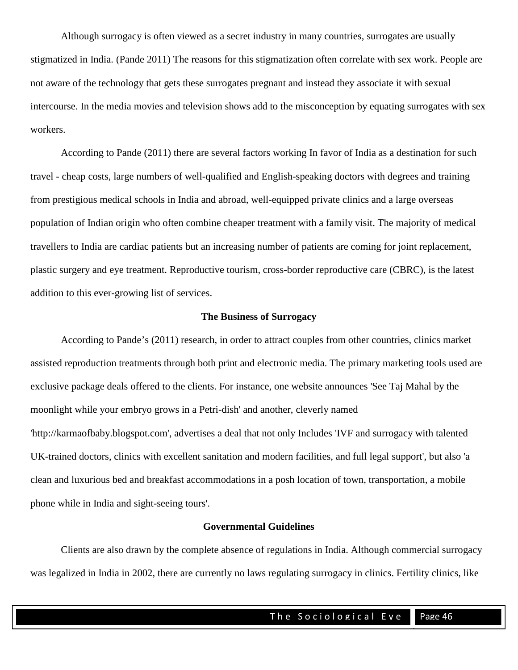Although surrogacy is often viewed as a secret industry in many countries, surrogates are usually stigmatized in India. (Pande 2011) The reasons for this stigmatization often correlate with sex work. People are not aware of the technology that gets these surrogates pregnant and instead they associate it with sexual intercourse. In the media movies and television shows add to the misconception by equating surrogates with sex workers.

According to Pande (2011) there are several factors working In favor of India as a destination for such travel - cheap costs, large numbers of well-qualified and English-speaking doctors with degrees and training from prestigious medical schools in India and abroad, well-equipped private clinics and a large overseas population of Indian origin who often combine cheaper treatment with a family visit. The majority of medical travellers to India are cardiac patients but an increasing number of patients are coming for joint replacement, plastic surgery and eye treatment. Reproductive tourism, cross-border reproductive care (CBRC), is the latest addition to this ever-growing list of services.

#### **The Business of Surrogacy**

According to Pande's (2011) research, in order to attract couples from other countries, clinics market assisted reproduction treatments through both print and electronic media. The primary marketing tools used are exclusive package deals offered to the clients. For instance, one website announces 'See Taj Mahal by the moonlight while your embryo grows in a Petri-dish' and another, cleverly named 'http://karmaofbaby.blogspot.com', advertises a deal that not only Includes 'IVF and surrogacy with talented UK-trained doctors, clinics with excellent sanitation and modern facilities, and full legal support', but also 'a clean and luxurious bed and breakfast accommodations in a posh location of town, transportation, a mobile phone while in India and sight-seeing tours'.

#### **Governmental Guidelines**

Clients are also drawn by the complete absence of regulations in India. Although commercial surrogacy was legalized in India in 2002, there are currently no laws regulating surrogacy in clinics. Fertility clinics, like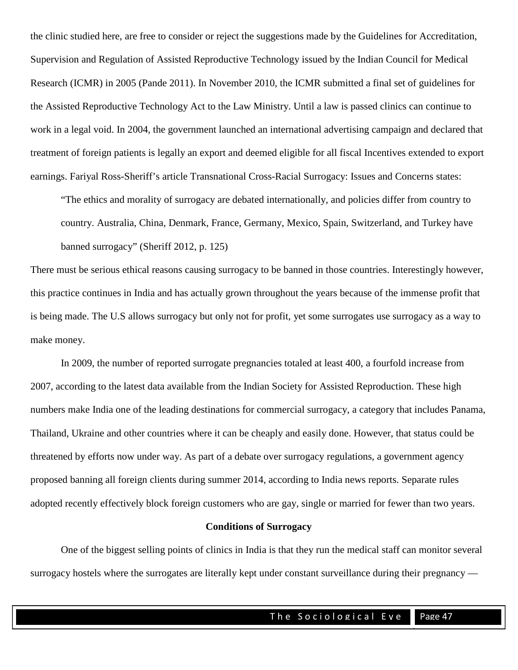the clinic studied here, are free to consider or reject the suggestions made by the Guidelines for Accreditation, Supervision and Regulation of Assisted Reproductive Technology issued by the Indian Council for Medical Research (ICMR) in 2005 (Pande 2011). In November 2010, the ICMR submitted a final set of guidelines for the Assisted Reproductive Technology Act to the Law Ministry. Until a law is passed clinics can continue to work in a legal void. In 2004, the government launched an international advertising campaign and declared that treatment of foreign patients is legally an export and deemed eligible for all fiscal Incentives extended to export earnings. Fariyal Ross-Sheriff's article Transnational Cross-Racial Surrogacy: Issues and Concerns states:

"The ethics and morality of surrogacy are debated internationally, and policies differ from country to country. Australia, China, Denmark, France, Germany, Mexico, Spain, Switzerland, and Turkey have banned surrogacy" (Sheriff 2012, p. 125)

There must be serious ethical reasons causing surrogacy to be banned in those countries. Interestingly however, this practice continues in India and has actually grown throughout the years because of the immense profit that is being made. The U.S allows surrogacy but only not for profit, yet some surrogates use surrogacy as a way to make money.

In 2009, the number of reported surrogate pregnancies totaled at least 400, a fourfold increase from 2007, according to the latest data available from the Indian Society for Assisted Reproduction. These high numbers make India one of the leading destinations for commercial surrogacy, a category that includes Panama, Thailand, Ukraine and other countries where it can be cheaply and easily done. However, that status could be threatened by efforts now under way. As part of a debate over surrogacy regulations, a government agency proposed banning all foreign clients during summer 2014, according to India news reports. Separate rules adopted recently effectively block foreign customers who are gay, single or married for fewer than two years.

#### **Conditions of Surrogacy**

One of the biggest selling points of clinics in India is that they run the medical staff can monitor several surrogacy hostels where the surrogates are literally kept under constant surveillance during their pregnancy —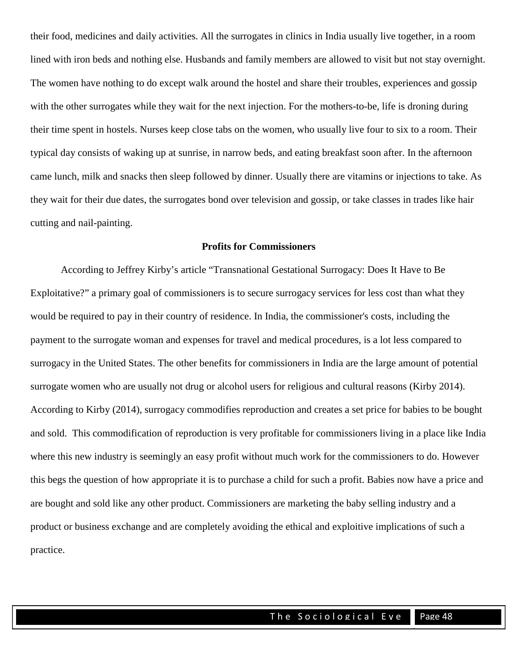their food, medicines and daily activities. All the surrogates in clinics in India usually live together, in a room lined with iron beds and nothing else. Husbands and family members are allowed to visit but not stay overnight. The women have nothing to do except walk around the hostel and share their troubles, experiences and gossip with the other surrogates while they wait for the next injection. For the mothers-to-be, life is droning during their time spent in hostels. Nurses keep close tabs on the women, who usually live four to six to a room. Their typical day consists of waking up at sunrise, in narrow beds, and eating breakfast soon after. In the afternoon came lunch, milk and snacks then sleep followed by dinner. Usually there are vitamins or injections to take. As they wait for their due dates, the surrogates bond over television and gossip, or take classes in trades like hair cutting and nail-painting.

#### **Profits for Commissioners**

According to Jeffrey Kirby's article "Transnational Gestational Surrogacy: Does It Have to Be Exploitative?" a primary goal of commissioners is to secure surrogacy services for less cost than what they would be required to pay in their country of residence. In India, the commissioner's costs, including the payment to the surrogate woman and expenses for travel and medical procedures, is a lot less compared to surrogacy in the United States. The other benefits for commissioners in India are the large amount of potential surrogate women who are usually not drug or alcohol users for religious and cultural reasons (Kirby 2014). According to Kirby (2014), surrogacy commodifies reproduction and creates a set price for babies to be bought and sold. This commodification of reproduction is very profitable for commissioners living in a place like India where this new industry is seemingly an easy profit without much work for the commissioners to do. However this begs the question of how appropriate it is to purchase a child for such a profit. Babies now have a price and are bought and sold like any other product. Commissioners are marketing the baby selling industry and a product or business exchange and are completely avoiding the ethical and exploitive implications of such a practice.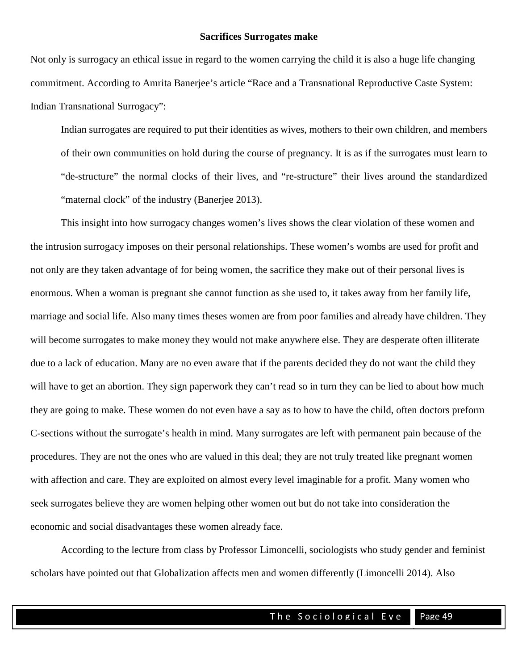#### **Sacrifices Surrogates make**

Not only is surrogacy an ethical issue in regard to the women carrying the child it is also a huge life changing commitment. According to Amrita Banerjee's article "Race and a Transnational Reproductive Caste System: Indian Transnational Surrogacy":

Indian surrogates are required to put their identities as wives, mothers to their own children, and members of their own communities on hold during the course of pregnancy. It is as if the surrogates must learn to "de-structure" the normal clocks of their lives, and "re-structure" their lives around the standardized "maternal clock" of the industry (Banerjee 2013).

This insight into how surrogacy changes women's lives shows the clear violation of these women and the intrusion surrogacy imposes on their personal relationships. These women's wombs are used for profit and not only are they taken advantage of for being women, the sacrifice they make out of their personal lives is enormous. When a woman is pregnant she cannot function as she used to, it takes away from her family life, marriage and social life. Also many times theses women are from poor families and already have children. They will become surrogates to make money they would not make anywhere else. They are desperate often illiterate due to a lack of education. Many are no even aware that if the parents decided they do not want the child they will have to get an abortion. They sign paperwork they can't read so in turn they can be lied to about how much they are going to make. These women do not even have a say as to how to have the child, often doctors preform C-sections without the surrogate's health in mind. Many surrogates are left with permanent pain because of the procedures. They are not the ones who are valued in this deal; they are not truly treated like pregnant women with affection and care. They are exploited on almost every level imaginable for a profit. Many women who seek surrogates believe they are women helping other women out but do not take into consideration the economic and social disadvantages these women already face.

According to the lecture from class by Professor Limoncelli, sociologists who study gender and feminist scholars have pointed out that Globalization affects men and women differently (Limoncelli 2014). Also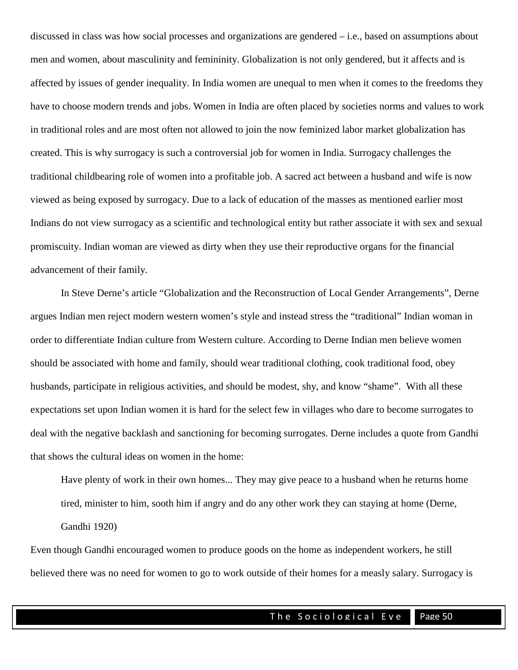discussed in class was how social processes and organizations are gendered – i.e., based on assumptions about men and women, about masculinity and femininity. Globalization is not only gendered, but it affects and is affected by issues of gender inequality. In India women are unequal to men when it comes to the freedoms they have to choose modern trends and jobs. Women in India are often placed by societies norms and values to work in traditional roles and are most often not allowed to join the now feminized labor market globalization has created. This is why surrogacy is such a controversial job for women in India. Surrogacy challenges the traditional childbearing role of women into a profitable job. A sacred act between a husband and wife is now viewed as being exposed by surrogacy. Due to a lack of education of the masses as mentioned earlier most Indians do not view surrogacy as a scientific and technological entity but rather associate it with sex and sexual promiscuity. Indian woman are viewed as dirty when they use their reproductive organs for the financial advancement of their family.

In Steve Derne's article "Globalization and the Reconstruction of Local Gender Arrangements", Derne argues Indian men reject modern western women's style and instead stress the "traditional" Indian woman in order to differentiate Indian culture from Western culture. According to Derne Indian men believe women should be associated with home and family, should wear traditional clothing, cook traditional food, obey husbands, participate in religious activities, and should be modest, shy, and know "shame". With all these expectations set upon Indian women it is hard for the select few in villages who dare to become surrogates to deal with the negative backlash and sanctioning for becoming surrogates. Derne includes a quote from Gandhi that shows the cultural ideas on women in the home:

Have plenty of work in their own homes... They may give peace to a husband when he returns home tired, minister to him, sooth him if angry and do any other work they can staying at home (Derne, Gandhi 1920)

Even though Gandhi encouraged women to produce goods on the home as independent workers, he still believed there was no need for women to go to work outside of their homes for a measly salary. Surrogacy is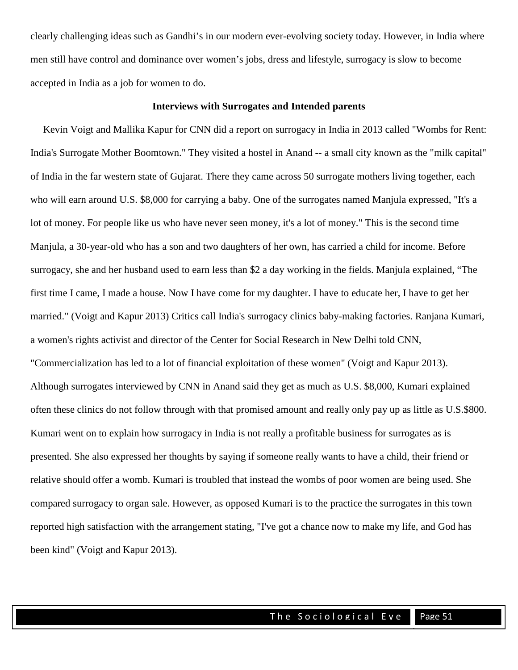clearly challenging ideas such as Gandhi's in our modern ever-evolving society today. However, in India where men still have control and dominance over women's jobs, dress and lifestyle, surrogacy is slow to become accepted in India as a job for women to do.

#### **Interviews with Surrogates and Intended parents**

 Kevin Voigt and Mallika Kapur for CNN did a report on surrogacy in India in 2013 called "Wombs for Rent: India's Surrogate Mother Boomtown." They visited a hostel in Anand -- a small city known as the "milk capital" of India in the far western state of Gujarat. There they came across 50 surrogate mothers living together, each who will earn around U.S. \$8,000 for carrying a baby. One of the surrogates named Manjula expressed, "It's a lot of money. For people like us who have never seen money, it's a lot of money." This is the second time Manjula, a 30-year-old who has a son and two daughters of her own, has carried a child for income. Before surrogacy, she and her husband used to earn less than \$2 a day working in the fields. Manjula explained, "The first time I came, I made a house. Now I have come for my daughter. I have to educate her, I have to get her married." (Voigt and Kapur 2013) Critics call India's surrogacy clinics baby-making factories. Ranjana Kumari, a women's rights activist and director of the Center for Social Research in New Delhi told CNN, "Commercialization has led to a lot of financial exploitation of these women" (Voigt and Kapur 2013). Although surrogates interviewed by CNN in Anand said they get as much as U.S. \$8,000, Kumari explained often these clinics do not follow through with that promised amount and really only pay up as little as U.S.\$800. Kumari went on to explain how surrogacy in India is not really a profitable business for surrogates as is presented. She also expressed her thoughts by saying if someone really wants to have a child, their friend or relative should offer a womb. Kumari is troubled that instead the wombs of poor women are being used. She compared surrogacy to organ sale. However, as opposed Kumari is to the practice the surrogates in this town reported high satisfaction with the arrangement stating, "I've got a chance now to make my life, and God has been kind" (Voigt and Kapur 2013).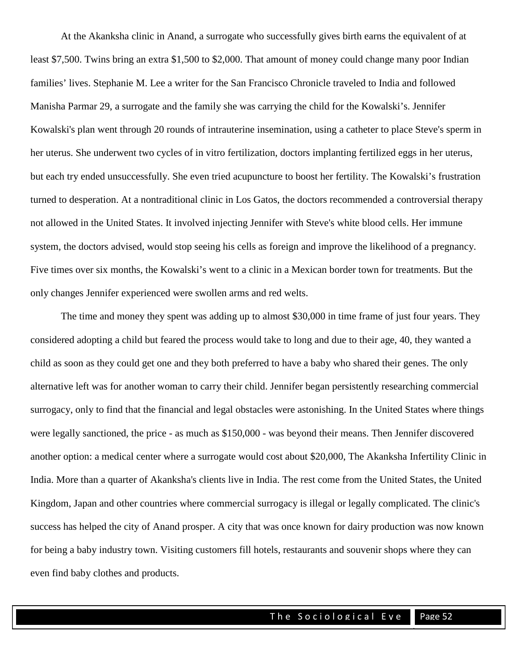At the Akanksha clinic in Anand, a surrogate who successfully gives birth earns the equivalent of at least \$7,500. Twins bring an extra \$1,500 to \$2,000. That amount of money could change many poor Indian families' lives. Stephanie M. Lee a writer for the San Francisco Chronicle traveled to India and followed Manisha Parmar 29, a surrogate and the family she was carrying the child for the Kowalski's. Jennifer Kowalski's plan went through 20 rounds of intrauterine insemination, using a catheter to place Steve's sperm in her uterus. She underwent two cycles of in vitro fertilization, doctors implanting fertilized eggs in her uterus, but each try ended unsuccessfully. She even tried acupuncture to boost her fertility. The Kowalski's frustration turned to desperation. At a nontraditional clinic in Los Gatos, the doctors recommended a controversial therapy not allowed in the United States. It involved injecting Jennifer with Steve's white blood cells. Her immune system, the doctors advised, would stop seeing his cells as foreign and improve the likelihood of a pregnancy. Five times over six months, the Kowalski's went to a clinic in a Mexican border town for treatments. But the only changes Jennifer experienced were swollen arms and red welts.

The time and money they spent was adding up to almost \$30,000 in time frame of just four years. They considered adopting a child but feared the process would take to long and due to their age, 40, they wanted a child as soon as they could get one and they both preferred to have a baby who shared their genes. The only alternative left was for another woman to carry their child. Jennifer began persistently researching commercial surrogacy, only to find that the financial and legal obstacles were astonishing. In the United States where things were legally sanctioned, the price - as much as \$150,000 - was beyond their means. Then Jennifer discovered another option: a medical center where a surrogate would cost about \$20,000, The Akanksha Infertility Clinic in India. More than a quarter of Akanksha's clients live in India. The rest come from the United States, the United Kingdom, Japan and other countries where commercial surrogacy is illegal or legally complicated. The clinic's success has helped the city of Anand prosper. A city that was once known for dairy production was now known for being a baby industry town. Visiting customers fill hotels, restaurants and souvenir shops where they can even find baby clothes and products.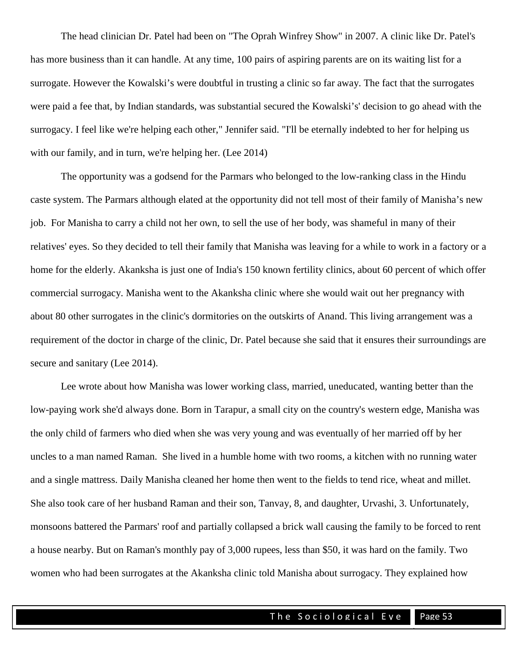The head clinician Dr. Patel had been on "The Oprah Winfrey Show" in 2007. A clinic like Dr. Patel's has more business than it can handle. At any time, 100 pairs of aspiring parents are on its waiting list for a surrogate. However the Kowalski's were doubtful in trusting a clinic so far away. The fact that the surrogates were paid a fee that, by Indian standards, was substantial secured the Kowalski's' decision to go ahead with the surrogacy. I feel like we're helping each other," Jennifer said. "I'll be eternally indebted to her for helping us with our family, and in turn, we're helping her. (Lee 2014)

The opportunity was a godsend for the Parmars who belonged to the low-ranking class in the Hindu caste system. The Parmars although elated at the opportunity did not tell most of their family of Manisha's new job. For Manisha to carry a child not her own, to sell the use of her body, was shameful in many of their relatives' eyes. So they decided to tell their family that Manisha was leaving for a while to work in a factory or a home for the elderly. Akanksha is just one of India's 150 known fertility clinics, about 60 percent of which offer commercial surrogacy. Manisha went to the Akanksha clinic where she would wait out her pregnancy with about 80 other surrogates in the clinic's dormitories on the outskirts of Anand. This living arrangement was a requirement of the doctor in charge of the clinic, Dr. Patel because she said that it ensures their surroundings are secure and sanitary (Lee 2014).

Lee wrote about how Manisha was lower working class, married, uneducated, wanting better than the low-paying work she'd always done. Born in Tarapur, a small city on the country's western edge, Manisha was the only child of farmers who died when she was very young and was eventually of her married off by her uncles to a man named Raman. She lived in a humble home with two rooms, a kitchen with no running water and a single mattress. Daily Manisha cleaned her home then went to the fields to tend rice, wheat and millet. She also took care of her husband Raman and their son, Tanvay, 8, and daughter, Urvashi, 3. Unfortunately, monsoons battered the Parmars' roof and partially collapsed a brick wall causing the family to be forced to rent a house nearby. But on Raman's monthly pay of 3,000 rupees, less than \$50, it was hard on the family. Two women who had been surrogates at the Akanksha clinic told Manisha about surrogacy. They explained how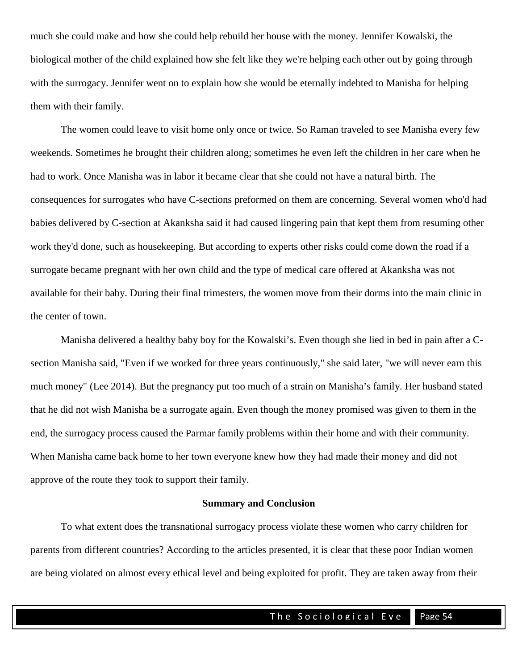much she could make and how she could help rebuild her house with the money. Jennifer Kowalski, the biological mother of the child explained how she felt like they we're helping each other out by going through with the surrogacy. Jennifer went on to explain how she would be eternally indebted to Manisha for helping them with their family.

The women could leave to visit home only once or twice. So Raman traveled to see Manisha every few weekends. Sometimes he brought their children along; sometimes he even left the children in her care when he had to work. Once Manisha was in labor it became clear that she could not have a natural birth. The consequences for surrogates who have C-sections preformed on them are concerning. Several women who'd had babies delivered by C-section at Akanksha said it had caused lingering pain that kept them from resuming other work they'd done, such as housekeeping. But according to experts other risks could come down the road if a surrogate became pregnant with her own child and the type of medical care offered at Akanksha was not available for their baby. During their final trimesters, the women move from their dorms into the main clinic in the center of town.

Manisha delivered a healthy baby boy for the Kowalski's. Even though she lied in bed in pain after a Csection Manisha said, "Even if we worked for three years continuously," she said later, "we will never earn this much money" (Lee 2014). But the pregnancy put too much of a strain on Manisha's family. Her husband stated that he did not wish Manisha be a surrogate again. Even though the money promised was given to them in the end, the surrogacy process caused the Parmar family problems within their home and with their community. When Manisha came back home to her town everyone knew how they had made their money and did not approve of the route they took to support their family.

#### **Summary and Conclusion**

To what extent does the transnational surrogacy process violate these women who carry children for parents from different countries? According to the articles presented, it is clear that these poor Indian women are being violated on almost every ethical level and being exploited for profit. They are taken away from their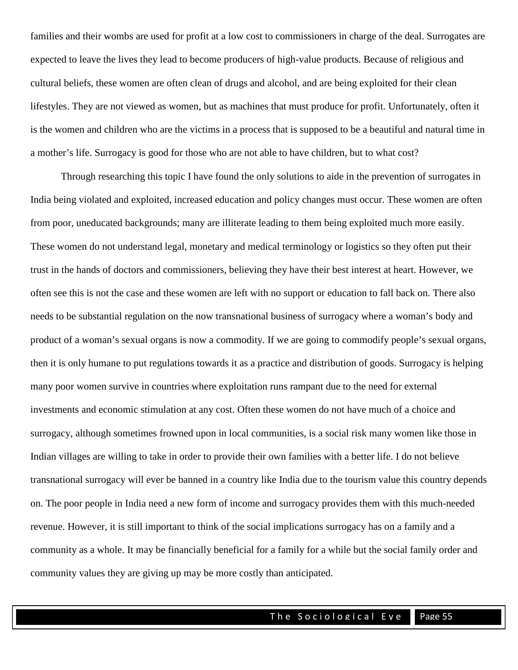families and their wombs are used for profit at a low cost to commissioners in charge of the deal. Surrogates are expected to leave the lives they lead to become producers of high-value products. Because of religious and cultural beliefs, these women are often clean of drugs and alcohol, and are being exploited for their clean lifestyles. They are not viewed as women, but as machines that must produce for profit. Unfortunately, often it is the women and children who are the victims in a process that is supposed to be a beautiful and natural time in a mother's life. Surrogacy is good for those who are not able to have children, but to what cost?

Through researching this topic I have found the only solutions to aide in the prevention of surrogates in India being violated and exploited, increased education and policy changes must occur. These women are often from poor, uneducated backgrounds; many are illiterate leading to them being exploited much more easily. These women do not understand legal, monetary and medical terminology or logistics so they often put their trust in the hands of doctors and commissioners, believing they have their best interest at heart. However, we often see this is not the case and these women are left with no support or education to fall back on. There also needs to be substantial regulation on the now transnational business of surrogacy where a woman's body and product of a woman's sexual organs is now a commodity. If we are going to commodify people's sexual organs, then it is only humane to put regulations towards it as a practice and distribution of goods. Surrogacy is helping many poor women survive in countries where exploitation runs rampant due to the need for external investments and economic stimulation at any cost. Often these women do not have much of a choice and surrogacy, although sometimes frowned upon in local communities, is a social risk many women like those in Indian villages are willing to take in order to provide their own families with a better life. I do not believe transnational surrogacy will ever be banned in a country like India due to the tourism value this country depends on. The poor people in India need a new form of income and surrogacy provides them with this much-needed revenue. However, it is still important to think of the social implications surrogacy has on a family and a community as a whole. It may be financially beneficial for a family for a while but the social family order and community values they are giving up may be more costly than anticipated.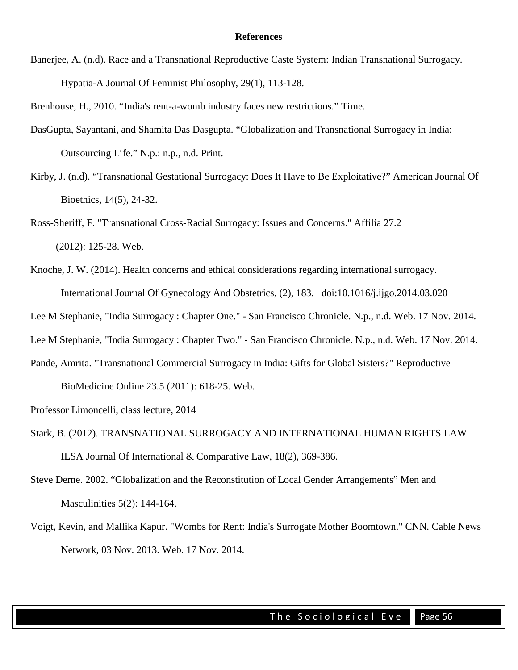#### **References**

Banerjee, A. (n.d). Race and a Transnational Reproductive Caste System: Indian Transnational Surrogacy. Hypatia-A Journal Of Feminist Philosophy, 29(1), 113-128.

Brenhouse, H., 2010. "India's rent-a-womb industry faces new restrictions." Time.

- DasGupta, Sayantani, and Shamita Das Dasgupta. "Globalization and Transnational Surrogacy in India: Outsourcing Life." N.p.: n.p., n.d. Print.
- Kirby, J. (n.d). "Transnational Gestational Surrogacy: Does It Have to Be Exploitative?" American Journal Of Bioethics, 14(5), 24-32.
- Ross-Sheriff, F. "Transnational Cross-Racial Surrogacy: Issues and Concerns." Affilia 27.2 (2012): 125-28. Web.
- Knoche, J. W. (2014). Health concerns and ethical considerations regarding international surrogacy. International Journal Of Gynecology And Obstetrics, (2), 183. doi:10.1016/j.ijgo.2014.03.020
- Lee M Stephanie, "India Surrogacy : Chapter One." San Francisco Chronicle. N.p., n.d. Web. 17 Nov. 2014.
- Lee M Stephanie, "India Surrogacy : Chapter Two." San Francisco Chronicle. N.p., n.d. Web. 17 Nov. 2014.
- Pande, Amrita. "Transnational Commercial Surrogacy in India: Gifts for Global Sisters?" Reproductive BioMedicine Online 23.5 (2011): 618-25. Web.
- Professor Limoncelli, class lecture, 2014
- Stark, B. (2012). TRANSNATIONAL SURROGACY AND INTERNATIONAL HUMAN RIGHTS LAW. ILSA Journal Of International & Comparative Law, 18(2), 369-386.
- Steve Derne. 2002. "Globalization and the Reconstitution of Local Gender Arrangements" Men and Masculinities 5(2): 144-164.
- Voigt, Kevin, and Mallika Kapur. "Wombs for Rent: India's Surrogate Mother Boomtown." CNN. Cable News Network, 03 Nov. 2013. Web. 17 Nov. 2014.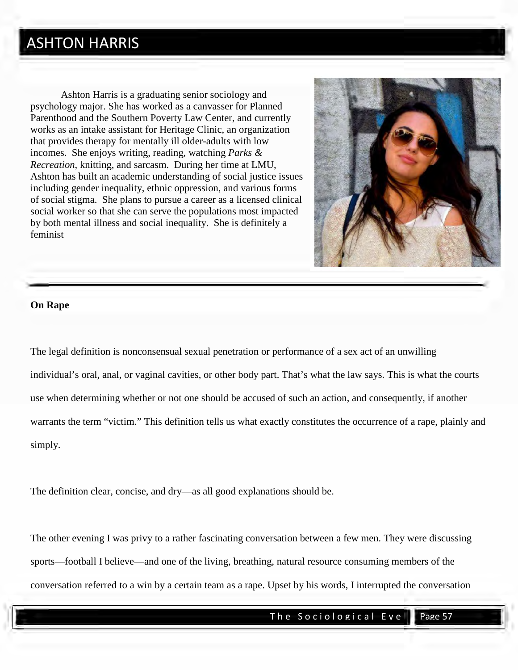### ASHTON HARRIS

Ashton Harris is a graduating senior sociology and psychology major. She has worked as a canvasser for Planned Parenthood and the Southern Poverty Law Center, and currently works as an intake assistant for Heritage Clinic, an organization that provides therapy for mentally ill older-adults with low incomes. She enjoys writing, reading, watching *Parks & Recreation*, knitting, and sarcasm. During her time at LMU, Ashton has built an academic understanding of social justice issues including gender inequality, ethnic oppression, and various forms of social stigma. She plans to pursue a career as a licensed clinical social worker so that she can serve the populations most impacted by both mental illness and social inequality. She is definitely a feminist



#### **On Rape**

The legal definition is nonconsensual sexual penetration or performance of a sex act of an unwilling individual's oral, anal, or vaginal cavities, or other body part. That's what the law says. This is what the courts use when determining whether or not one should be accused of such an action, and consequently, if another warrants the term "victim." This definition tells us what exactly constitutes the occurrence of a rape, plainly and simply.

The definition clear, concise, and dry—as all good explanations should be.

The other evening I was privy to a rather fascinating conversation between a few men. They were discussing sports—football I believe—and one of the living, breathing, natural resource consuming members of the conversation referred to a win by a certain team as a rape. Upset by his words, I interrupted the conversation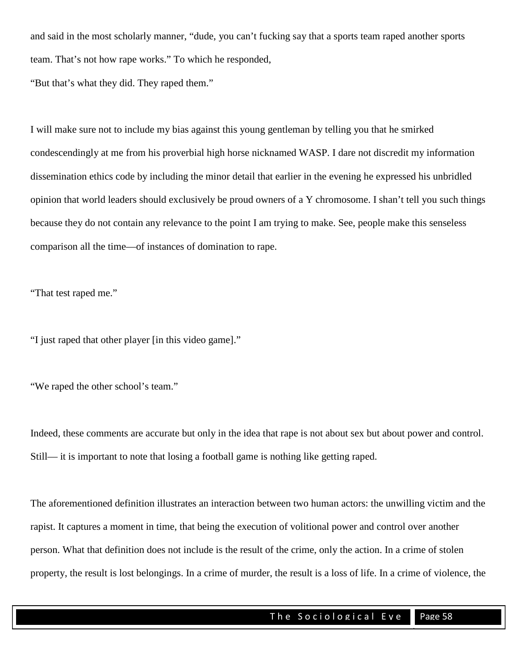and said in the most scholarly manner, "dude, you can't fucking say that a sports team raped another sports team. That's not how rape works." To which he responded,

"But that's what they did. They raped them."

I will make sure not to include my bias against this young gentleman by telling you that he smirked condescendingly at me from his proverbial high horse nicknamed WASP. I dare not discredit my information dissemination ethics code by including the minor detail that earlier in the evening he expressed his unbridled opinion that world leaders should exclusively be proud owners of a Y chromosome. I shan't tell you such things because they do not contain any relevance to the point I am trying to make. See, people make this senseless comparison all the time—of instances of domination to rape.

"That test raped me."

"I just raped that other player [in this video game]."

"We raped the other school's team."

Indeed, these comments are accurate but only in the idea that rape is not about sex but about power and control. Still— it is important to note that losing a football game is nothing like getting raped.

The aforementioned definition illustrates an interaction between two human actors: the unwilling victim and the rapist. It captures a moment in time, that being the execution of volitional power and control over another person. What that definition does not include is the result of the crime, only the action. In a crime of stolen property, the result is lost belongings. In a crime of murder, the result is a loss of life. In a crime of violence, the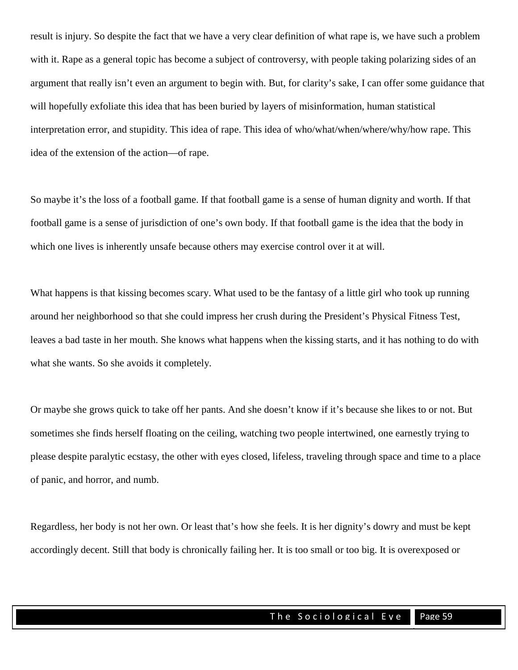result is injury. So despite the fact that we have a very clear definition of what rape is, we have such a problem with it. Rape as a general topic has become a subject of controversy, with people taking polarizing sides of an argument that really isn't even an argument to begin with. But, for clarity's sake, I can offer some guidance that will hopefully exfoliate this idea that has been buried by layers of misinformation, human statistical interpretation error, and stupidity. This idea of rape. This idea of who/what/when/where/why/how rape. This idea of the extension of the action—of rape.

So maybe it's the loss of a football game. If that football game is a sense of human dignity and worth. If that football game is a sense of jurisdiction of one's own body. If that football game is the idea that the body in which one lives is inherently unsafe because others may exercise control over it at will.

What happens is that kissing becomes scary. What used to be the fantasy of a little girl who took up running around her neighborhood so that she could impress her crush during the President's Physical Fitness Test, leaves a bad taste in her mouth. She knows what happens when the kissing starts, and it has nothing to do with what she wants. So she avoids it completely.

Or maybe she grows quick to take off her pants. And she doesn't know if it's because she likes to or not. But sometimes she finds herself floating on the ceiling, watching two people intertwined, one earnestly trying to please despite paralytic ecstasy, the other with eyes closed, lifeless, traveling through space and time to a place of panic, and horror, and numb.

Regardless, her body is not her own. Or least that's how she feels. It is her dignity's dowry and must be kept accordingly decent. Still that body is chronically failing her. It is too small or too big. It is overexposed or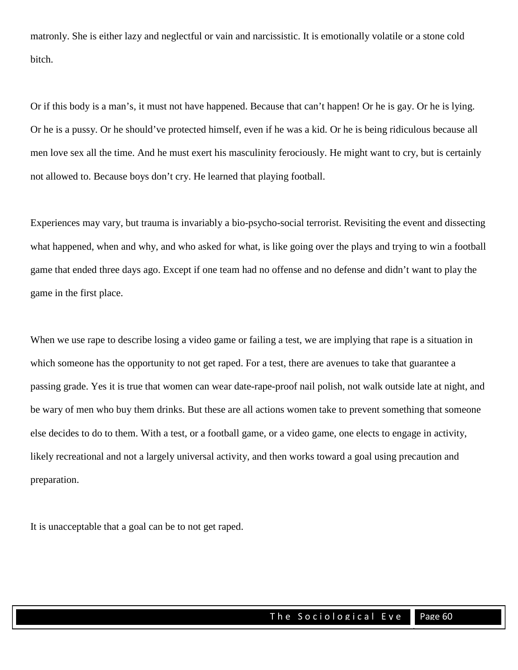matronly. She is either lazy and neglectful or vain and narcissistic. It is emotionally volatile or a stone cold bitch.

Or if this body is a man's, it must not have happened. Because that can't happen! Or he is gay. Or he is lying. Or he is a pussy. Or he should've protected himself, even if he was a kid. Or he is being ridiculous because all men love sex all the time. And he must exert his masculinity ferociously. He might want to cry, but is certainly not allowed to. Because boys don't cry. He learned that playing football.

Experiences may vary, but trauma is invariably a bio-psycho-social terrorist. Revisiting the event and dissecting what happened, when and why, and who asked for what, is like going over the plays and trying to win a football game that ended three days ago. Except if one team had no offense and no defense and didn't want to play the game in the first place.

When we use rape to describe losing a video game or failing a test, we are implying that rape is a situation in which someone has the opportunity to not get raped. For a test, there are avenues to take that guarantee a passing grade. Yes it is true that women can wear date-rape-proof nail polish, not walk outside late at night, and be wary of men who buy them drinks. But these are all actions women take to prevent something that someone else decides to do to them. With a test, or a football game, or a video game, one elects to engage in activity, likely recreational and not a largely universal activity, and then works toward a goal using precaution and preparation.

It is unacceptable that a goal can be to not get raped.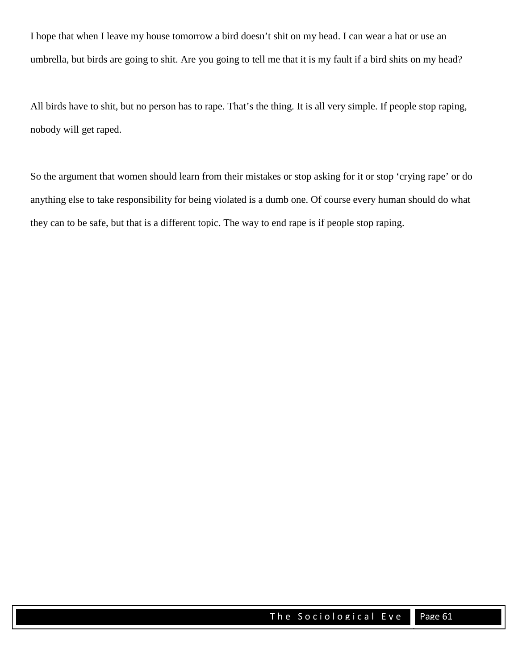I hope that when I leave my house tomorrow a bird doesn't shit on my head. I can wear a hat or use an umbrella, but birds are going to shit. Are you going to tell me that it is my fault if a bird shits on my head?

All birds have to shit, but no person has to rape. That's the thing. It is all very simple. If people stop raping, nobody will get raped.

So the argument that women should learn from their mistakes or stop asking for it or stop 'crying rape' or do anything else to take responsibility for being violated is a dumb one. Of course every human should do what they can to be safe, but that is a different topic. The way to end rape is if people stop raping.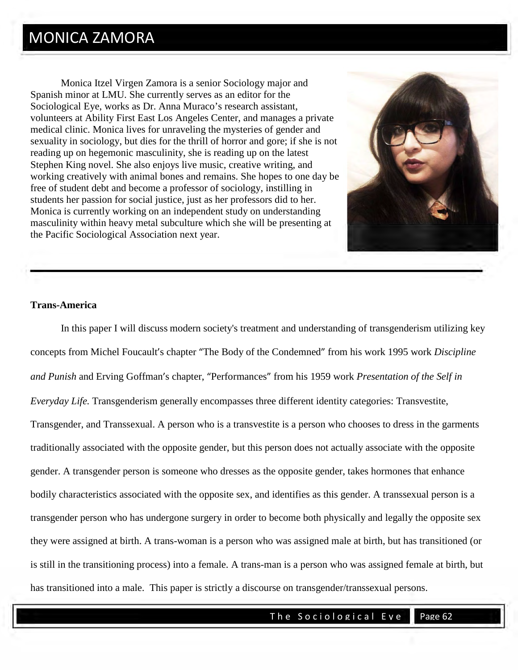Monica Itzel Virgen Zamora is a senior Sociology major and Spanish minor at LMU. She currently serves as an editor for the Sociological Eye, works as Dr. Anna Muraco's research assistant, volunteers at Ability First East Los Angeles Center, and manages a private medical clinic. Monica lives for unraveling the mysteries of gender and sexuality in sociology, but dies for the thrill of horror and gore; if she is not reading up on hegemonic masculinity, she is reading up on the latest Stephen King novel. She also enjoys live music, creative writing, and working creatively with animal bones and remains. She hopes to one day be free of student debt and become a professor of sociology, instilling in students her passion for social justice, just as her professors did to her. Monica is currently working on an independent study on understanding masculinity within heavy metal subculture which she will be presenting at the Pacific Sociological Association next year.



#### **Trans-America**

In this paper I will discuss modern society's treatment and understanding of transgenderism utilizing key concepts from Michel Foucault's chapter "The Body of the Condemned" from his work 1995 work *Discipline and Punish* and Erving Goffman's chapter, "Performances" from his 1959 work *Presentation of the Self in Everyday Life.* Transgenderism generally encompasses three different identity categories: Transvestite, Transgender, and Transsexual. A person who is a transvestite is a person who chooses to dress in the garments traditionally associated with the opposite gender, but this person does not actually associate with the opposite gender. A transgender person is someone who dresses as the opposite gender, takes hormones that enhance bodily characteristics associated with the opposite sex, and identifies as this gender. A transsexual person is a transgender person who has undergone surgery in order to become both physically and legally the opposite sex they were assigned at birth. A trans-woman is a person who was assigned male at birth, but has transitioned (or is still in the transitioning process) into a female. A trans-man is a person who was assigned female at birth, but has transitioned into a male. This paper is strictly a discourse on transgender/transsexual persons.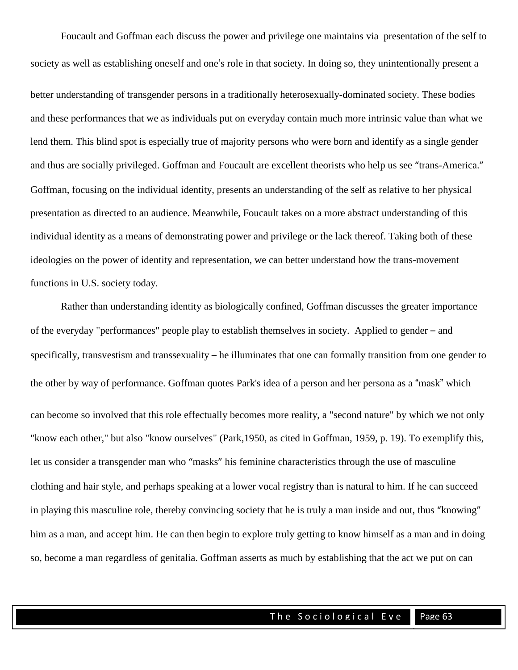Foucault and Goffman each discuss the power and privilege one maintains via presentation of the self to society as well as establishing oneself and one's role in that society. In doing so, they unintentionally present a better understanding of transgender persons in a traditionally heterosexually-dominated society. These bodies and these performances that we as individuals put on everyday contain much more intrinsic value than what we lend them. This blind spot is especially true of majority persons who were born and identify as a single gender and thus are socially privileged. Goffman and Foucault are excellent theorists who help us see "trans-America." Goffman, focusing on the individual identity, presents an understanding of the self as relative to her physical presentation as directed to an audience. Meanwhile, Foucault takes on a more abstract understanding of this individual identity as a means of demonstrating power and privilege or the lack thereof. Taking both of these ideologies on the power of identity and representation, we can better understand how the trans-movement functions in U.S. society today.

Rather than understanding identity as biologically confined, Goffman discusses the greater importance of the everyday "performances" people play to establish themselves in society. Applied to gender – and specifically, transvestism and transsexuality – he illuminates that one can formally transition from one gender to the other by way of performance. Goffman quotes Park's idea of a person and her persona as a "mask" which can become so involved that this role effectually becomes more reality, a "second nature" by which we not only "know each other," but also "know ourselves" (Park,1950, as cited in Goffman, 1959, p. 19). To exemplify this, let us consider a transgender man who "masks" his feminine characteristics through the use of masculine clothing and hair style, and perhaps speaking at a lower vocal registry than is natural to him. If he can succeed in playing this masculine role, thereby convincing society that he is truly a man inside and out, thus "knowing" him as a man, and accept him. He can then begin to explore truly getting to know himself as a man and in doing so, become a man regardless of genitalia. Goffman asserts as much by establishing that the act we put on can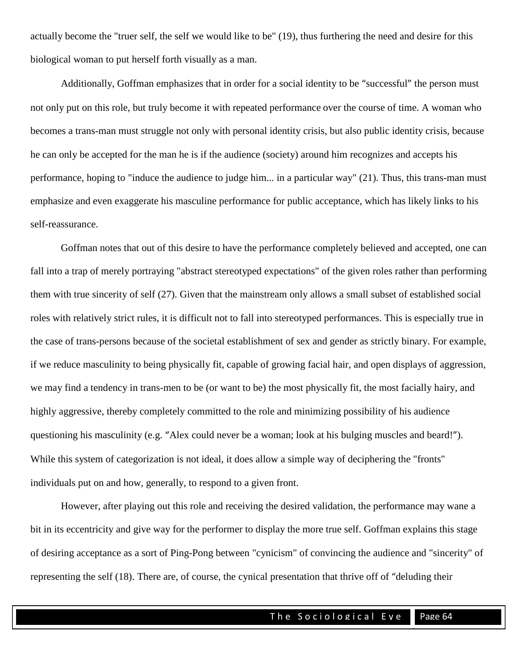actually become the "truer self, the self we would like to be" (19), thus furthering the need and desire for this biological woman to put herself forth visually as a man.

Additionally, Goffman emphasizes that in order for a social identity to be "successful" the person must not only put on this role, but truly become it with repeated performance over the course of time. A woman who becomes a trans-man must struggle not only with personal identity crisis, but also public identity crisis, because he can only be accepted for the man he is if the audience (society) around him recognizes and accepts his performance, hoping to "induce the audience to judge him... in a particular way" (21). Thus, this trans-man must emphasize and even exaggerate his masculine performance for public acceptance, which has likely links to his self-reassurance.

Goffman notes that out of this desire to have the performance completely believed and accepted, one can fall into a trap of merely portraying "abstract stereotyped expectations" of the given roles rather than performing them with true sincerity of self (27). Given that the mainstream only allows a small subset of established social roles with relatively strict rules, it is difficult not to fall into stereotyped performances. This is especially true in the case of trans-persons because of the societal establishment of sex and gender as strictly binary. For example, if we reduce masculinity to being physically fit, capable of growing facial hair, and open displays of aggression, we may find a tendency in trans-men to be (or want to be) the most physically fit, the most facially hairy, and highly aggressive, thereby completely committed to the role and minimizing possibility of his audience questioning his masculinity (e.g. "Alex could never be a woman; look at his bulging muscles and beard!"). While this system of categorization is not ideal, it does allow a simple way of deciphering the "fronts" individuals put on and how, generally, to respond to a given front.

However, after playing out this role and receiving the desired validation, the performance may wane a bit in its eccentricity and give way for the performer to display the more true self. Goffman explains this stage of desiring acceptance as a sort of Ping-Pong between "cynicism" of convincing the audience and "sincerity" of representing the self (18). There are, of course, the cynical presentation that thrive off of "deluding their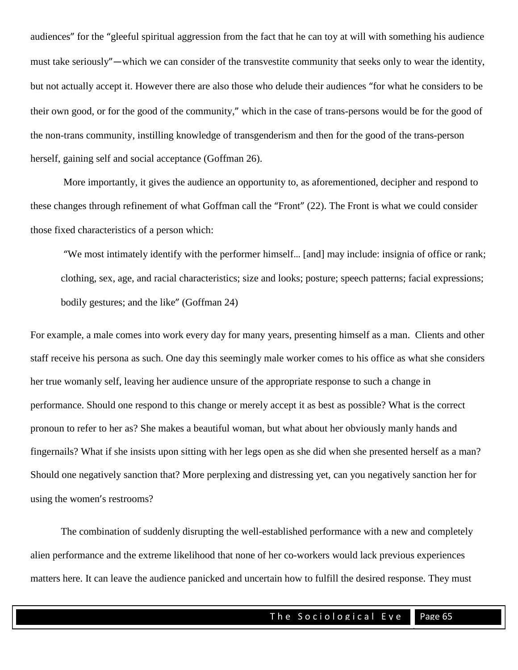audiences" for the "gleeful spiritual aggression from the fact that he can toy at will with something his audience must take seriously"—which we can consider of the transvestite community that seeks only to wear the identity, but not actually accept it. However there are also those who delude their audiences "for what he considers to be their own good, or for the good of the community," which in the case of trans-persons would be for the good of the non-trans community, instilling knowledge of transgenderism and then for the good of the trans-person herself, gaining self and social acceptance (Goffman 26).

More importantly, it gives the audience an opportunity to, as aforementioned, decipher and respond to these changes through refinement of what Goffman call the "Front" (22). The Front is what we could consider those fixed characteristics of a person which:

"We most intimately identify with the performer himself… [and] may include: insignia of office or rank; clothing, sex, age, and racial characteristics; size and looks; posture; speech patterns; facial expressions; bodily gestures; and the like" (Goffman 24)

For example, a male comes into work every day for many years, presenting himself as a man. Clients and other staff receive his persona as such. One day this seemingly male worker comes to his office as what she considers her true womanly self, leaving her audience unsure of the appropriate response to such a change in performance. Should one respond to this change or merely accept it as best as possible? What is the correct pronoun to refer to her as? She makes a beautiful woman, but what about her obviously manly hands and fingernails? What if she insists upon sitting with her legs open as she did when she presented herself as a man? Should one negatively sanction that? More perplexing and distressing yet, can you negatively sanction her for using the women's restrooms?

The combination of suddenly disrupting the well-established performance with a new and completely alien performance and the extreme likelihood that none of her co-workers would lack previous experiences matters here. It can leave the audience panicked and uncertain how to fulfill the desired response. They must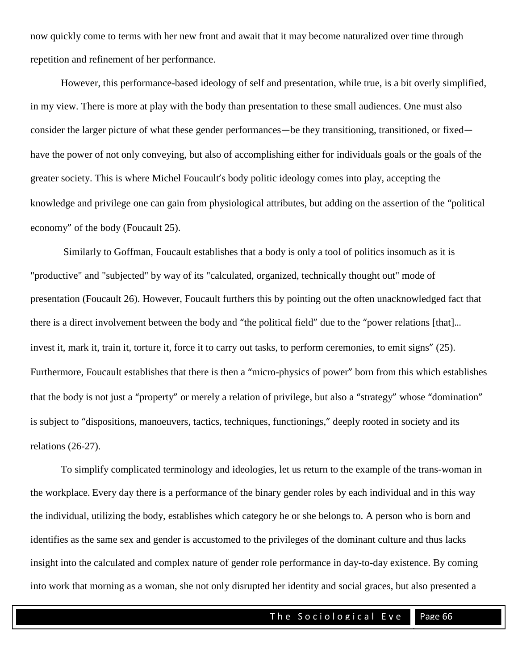now quickly come to terms with her new front and await that it may become naturalized over time through repetition and refinement of her performance.

However, this performance-based ideology of self and presentation, while true, is a bit overly simplified, in my view. There is more at play with the body than presentation to these small audiences. One must also consider the larger picture of what these gender performances—be they transitioning, transitioned, or fixed have the power of not only conveying, but also of accomplishing either for individuals goals or the goals of the greater society. This is where Michel Foucault's body politic ideology comes into play, accepting the knowledge and privilege one can gain from physiological attributes, but adding on the assertion of the "political economy" of the body (Foucault 25).

Similarly to Goffman, Foucault establishes that a body is only a tool of politics insomuch as it is "productive" and "subjected" by way of its "calculated, organized, technically thought out" mode of presentation (Foucault 26). However, Foucault furthers this by pointing out the often unacknowledged fact that there is a direct involvement between the body and "the political field" due to the "power relations [that]… invest it, mark it, train it, torture it, force it to carry out tasks, to perform ceremonies, to emit signs" (25). Furthermore, Foucault establishes that there is then a "micro-physics of power" born from this which establishes that the body is not just a "property" or merely a relation of privilege, but also a "strategy" whose "domination" is subject to "dispositions, manoeuvers, tactics, techniques, functionings," deeply rooted in society and its relations (26-27).

To simplify complicated terminology and ideologies, let us return to the example of the trans-woman in the workplace. Every day there is a performance of the binary gender roles by each individual and in this way the individual, utilizing the body, establishes which category he or she belongs to. A person who is born and identifies as the same sex and gender is accustomed to the privileges of the dominant culture and thus lacks insight into the calculated and complex nature of gender role performance in day-to-day existence. By coming into work that morning as a woman, she not only disrupted her identity and social graces, but also presented a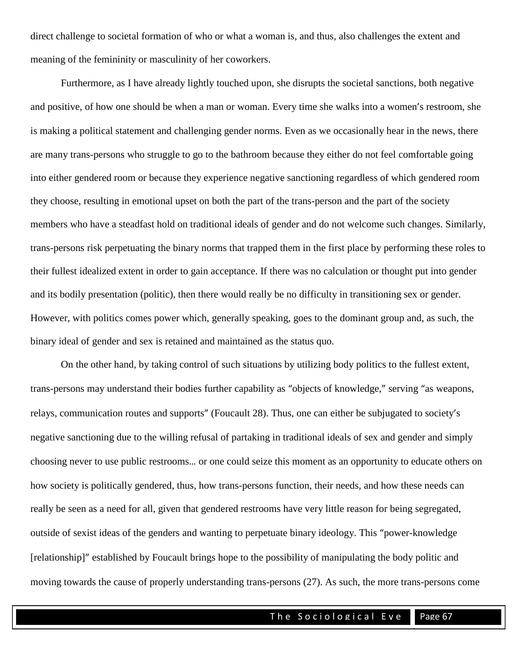direct challenge to societal formation of who or what a woman is, and thus, also challenges the extent and meaning of the femininity or masculinity of her coworkers.

Furthermore, as I have already lightly touched upon, she disrupts the societal sanctions, both negative and positive, of how one should be when a man or woman. Every time she walks into a women's restroom, she is making a political statement and challenging gender norms. Even as we occasionally hear in the news, there are many trans-persons who struggle to go to the bathroom because they either do not feel comfortable going into either gendered room or because they experience negative sanctioning regardless of which gendered room they choose, resulting in emotional upset on both the part of the trans-person and the part of the society members who have a steadfast hold on traditional ideals of gender and do not welcome such changes. Similarly, trans-persons risk perpetuating the binary norms that trapped them in the first place by performing these roles to their fullest idealized extent in order to gain acceptance. If there was no calculation or thought put into gender and its bodily presentation (politic), then there would really be no difficulty in transitioning sex or gender. However, with politics comes power which, generally speaking, goes to the dominant group and, as such, the binary ideal of gender and sex is retained and maintained as the status quo.

On the other hand, by taking control of such situations by utilizing body politics to the fullest extent, trans-persons may understand their bodies further capability as "objects of knowledge," serving "as weapons, relays, communication routes and supports" (Foucault 28). Thus, one can either be subjugated to society's negative sanctioning due to the willing refusal of partaking in traditional ideals of sex and gender and simply choosing never to use public restrooms… or one could seize this moment as an opportunity to educate others on how society is politically gendered, thus, how trans-persons function, their needs, and how these needs can really be seen as a need for all, given that gendered restrooms have very little reason for being segregated, outside of sexist ideas of the genders and wanting to perpetuate binary ideology. This "power-knowledge [relationship]" established by Foucault brings hope to the possibility of manipulating the body politic and moving towards the cause of properly understanding trans-persons (27). As such, the more trans-persons come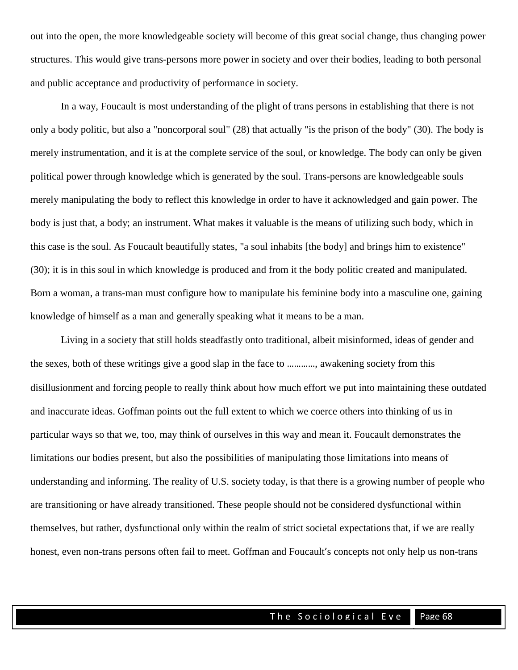out into the open, the more knowledgeable society will become of this great social change, thus changing power structures. This would give trans-persons more power in society and over their bodies, leading to both personal and public acceptance and productivity of performance in society.

In a way, Foucault is most understanding of the plight of trans persons in establishing that there is not only a body politic, but also a "noncorporal soul" (28) that actually "is the prison of the body" (30). The body is merely instrumentation, and it is at the complete service of the soul, or knowledge. The body can only be given political power through knowledge which is generated by the soul. Trans-persons are knowledgeable souls merely manipulating the body to reflect this knowledge in order to have it acknowledged and gain power. The body is just that, a body; an instrument. What makes it valuable is the means of utilizing such body, which in this case is the soul. As Foucault beautifully states, "a soul inhabits [the body] and brings him to existence" (30); it is in this soul in which knowledge is produced and from it the body politic created and manipulated. Born a woman, a trans-man must configure how to manipulate his feminine body into a masculine one, gaining knowledge of himself as a man and generally speaking what it means to be a man.

Living in a society that still holds steadfastly onto traditional, albeit misinformed, ideas of gender and the sexes, both of these writings give a good slap in the face to …………, awakening society from this disillusionment and forcing people to really think about how much effort we put into maintaining these outdated and inaccurate ideas. Goffman points out the full extent to which we coerce others into thinking of us in particular ways so that we, too, may think of ourselves in this way and mean it. Foucault demonstrates the limitations our bodies present, but also the possibilities of manipulating those limitations into means of understanding and informing. The reality of U.S. society today, is that there is a growing number of people who are transitioning or have already transitioned. These people should not be considered dysfunctional within themselves, but rather, dysfunctional only within the realm of strict societal expectations that, if we are really honest, even non-trans persons often fail to meet. Goffman and Foucault's concepts not only help us non-trans